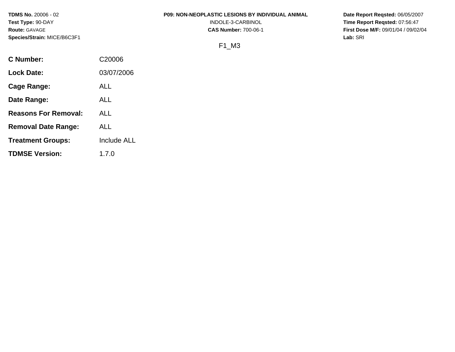**TDMS No.** 20006 - 02 **Test Type:** 90-DAY **Route:** GAVAGE **Species/Strain:** MICE/B6C3F1

### **P09: NON-NEOPLASTIC LESIONS BY INDIVIDUAL ANIMAL**

INDOLE-3-CARBINOL **CAS Number:** 700-06-1 **Date Report Reqsted:** 06/05/2007 **Time Report Reqsted:** 07:56:47 **First Dose M/F:** 09/01/04 / 09/02/04 **Lab:** SRI

# F1\_M3

| C Number:                   | C <sub>20006</sub> |
|-----------------------------|--------------------|
| Lock Date:                  | 03/07/2006         |
| Cage Range:                 | ALL                |
| Date Range:                 | ALL                |
| <b>Reasons For Removal:</b> | ALL                |
| <b>Removal Date Range:</b>  | ALL                |
| <b>Treatment Groups:</b>    | <b>Include ALL</b> |
| <b>TDMSE Version:</b>       | 1.7.0              |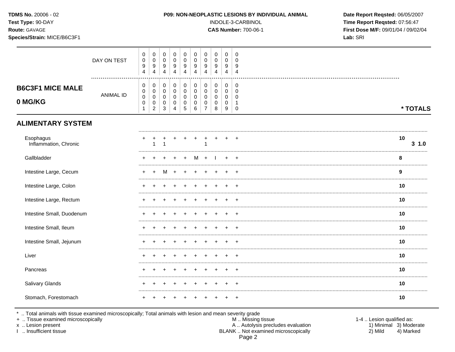| TDMS No. 20006 - 02<br>Test Type: 90-DAY<br>Route: GAVAGE<br>Species/Strain: MICE/B6C3F1 |                  |                                                      |                                                                |                                                   |                                      |                                                           |                                                                |                                                            |                                                                 |                                                           | P09: NON-NEOPLASTIC LESIONS BY INDIVIDUAL ANIMAL<br>INDOLE-3-CARBINOL<br><b>CAS Number: 700-06-1</b> | Date Report Reqsted: 06/05/2007<br>Time Report Reqsted: 07:56:47<br>First Dose M/F: 09/01/04 / 09/02/04<br>Lab: SRI |             |
|------------------------------------------------------------------------------------------|------------------|------------------------------------------------------|----------------------------------------------------------------|---------------------------------------------------|--------------------------------------|-----------------------------------------------------------|----------------------------------------------------------------|------------------------------------------------------------|-----------------------------------------------------------------|-----------------------------------------------------------|------------------------------------------------------------------------------------------------------|---------------------------------------------------------------------------------------------------------------------|-------------|
|                                                                                          | DAY ON TEST      | $\mathbf 0$<br>$\pmb{0}$<br>$\boldsymbol{9}$<br>4    | $\pmb{0}$<br>$\mathsf 0$<br>$\boldsymbol{9}$<br>$\overline{4}$ | $\mathbf 0$<br>$\pmb{0}$<br>9<br>4                | 0<br>$\mathbf 0$<br>9<br>4           | $\boldsymbol{0}$<br>0<br>9<br>$\overline{4}$              | $\mathbf 0$<br>$\pmb{0}$<br>$\boldsymbol{9}$<br>$\overline{4}$ | $\pmb{0}$<br>$\pmb{0}$<br>9<br>$\overline{4}$              | $\mathbf 0$<br>$\mathbf 0$<br>9<br>$\overline{4}$               | $\mathsf{O}\xspace$<br>$\mathbf 0$<br>9<br>$\overline{4}$ | $\mathbf 0$<br>$\overline{0}$<br>9<br>$\overline{4}$                                                 |                                                                                                                     |             |
| <b>B6C3F1 MICE MALE</b><br>0 MG/KG                                                       | <b>ANIMAL ID</b> | 0<br>0<br>$\mathsf 0$<br>$\mathsf 0$<br>$\mathbf{1}$ | 0<br>0<br>$\mathsf 0$<br>$\pmb{0}$<br>$\overline{2}$           | 0<br>$\mathbf 0$<br>$\mathbf 0$<br>$\pmb{0}$<br>3 | 0<br>$\Omega$<br>0<br>$\pmb{0}$<br>4 | $\pmb{0}$<br>$\mathbf 0$<br>$\mathbf 0$<br>$\pmb{0}$<br>5 | $\pmb{0}$<br>$\mathbf 0$<br>$\pmb{0}$<br>$\pmb{0}$<br>6        | 0<br>$\pmb{0}$<br>$\pmb{0}$<br>$\pmb{0}$<br>$\overline{7}$ | $\pmb{0}$<br>$\mathsf{O}\xspace$<br>$\pmb{0}$<br>$\pmb{0}$<br>8 | 0<br>$\mathbf 0$<br>$\mathbf 0$<br>$\mathbf 0$<br>9       | 0<br>$\overline{0}$<br>$\overline{0}$<br>$\overline{1}$<br>$\mathbf 0$                               |                                                                                                                     | * TOTALS    |
| <b>ALIMENTARY SYSTEM</b>                                                                 |                  |                                                      |                                                                |                                                   |                                      |                                                           |                                                                |                                                            |                                                                 |                                                           |                                                                                                      |                                                                                                                     |             |
| Esophagus<br>Inflammation, Chronic                                                       |                  |                                                      | 1                                                              |                                                   |                                      |                                                           |                                                                | 1                                                          |                                                                 |                                                           |                                                                                                      |                                                                                                                     | 10<br>3 1.0 |
| Gallbladder                                                                              |                  |                                                      |                                                                |                                                   |                                      |                                                           |                                                                |                                                            |                                                                 |                                                           |                                                                                                      |                                                                                                                     | 8           |
| Intestine Large, Cecum                                                                   |                  |                                                      |                                                                | M                                                 |                                      |                                                           |                                                                |                                                            |                                                                 |                                                           |                                                                                                      |                                                                                                                     | 9           |
| Intestine Large, Colon                                                                   |                  |                                                      |                                                                |                                                   |                                      |                                                           |                                                                |                                                            |                                                                 |                                                           |                                                                                                      |                                                                                                                     | 10          |
| Intestine Large, Rectum                                                                  |                  |                                                      |                                                                |                                                   |                                      |                                                           |                                                                |                                                            |                                                                 |                                                           |                                                                                                      |                                                                                                                     | 10          |
| Intestine Small, Duodenum                                                                |                  |                                                      |                                                                |                                                   |                                      |                                                           |                                                                |                                                            |                                                                 |                                                           |                                                                                                      |                                                                                                                     | 10          |
| Intestine Small, Ileum                                                                   |                  |                                                      |                                                                |                                                   |                                      |                                                           |                                                                |                                                            |                                                                 |                                                           |                                                                                                      |                                                                                                                     | 10          |
| Intestine Small, Jejunum                                                                 |                  |                                                      |                                                                |                                                   |                                      |                                                           |                                                                |                                                            |                                                                 |                                                           |                                                                                                      |                                                                                                                     | 10          |
| Liver                                                                                    |                  |                                                      |                                                                |                                                   |                                      |                                                           |                                                                |                                                            |                                                                 |                                                           |                                                                                                      |                                                                                                                     | 10          |
| Pancreas                                                                                 |                  |                                                      |                                                                |                                                   |                                      |                                                           |                                                                |                                                            |                                                                 |                                                           |                                                                                                      |                                                                                                                     | 10          |
| Salivary Glands                                                                          |                  |                                                      |                                                                |                                                   |                                      |                                                           |                                                                |                                                            |                                                                 |                                                           |                                                                                                      |                                                                                                                     | 10          |
| Stomach, Forestomach                                                                     |                  |                                                      |                                                                |                                                   |                                      |                                                           |                                                                |                                                            |                                                                 |                                                           |                                                                                                      |                                                                                                                     | 10          |

\* .. Total animals with tissue examined microscopically; Total animals with lesion and mean severity grade<br>+ .. Tissue examined microscopically

x .. Lesion present

I .. Insufficient tissue

M .. Missing tissue A .. Autolysis precludes evaluation<br>BLANK .. Not examined microscopically Page 2

1-4 .. Lesion qualified as: 1) Minimal 3) Moderate  $2)$  Mild 4) Marked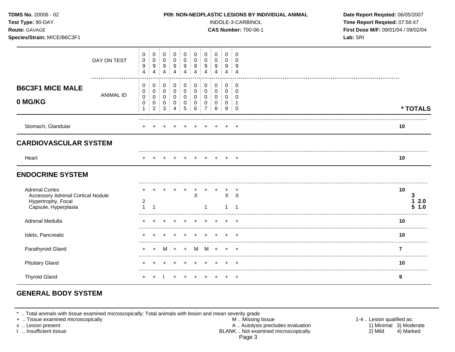| TDMS No. 20006 - 02<br>Test Type: 90-DAY<br>Route: GAVAGE<br>Species/Strain: MICE/B6C3F1                        |                  |                               |                                         |                                 |                                         |                                         |                                      |                                              |                       | P09: NON-NEOPLASTIC LESIONS BY INDIVIDUAL ANIMAL<br>INDOLE-3-CARBINOL<br><b>CAS Number: 700-06-1</b> | Date Report Reqsted: 06/05/2007<br>Time Report Reqsted: 07:56:47<br>First Dose M/F: 09/01/04 / 09/02/04<br>Lab: SRI |  |                        |
|-----------------------------------------------------------------------------------------------------------------|------------------|-------------------------------|-----------------------------------------|---------------------------------|-----------------------------------------|-----------------------------------------|--------------------------------------|----------------------------------------------|-----------------------|------------------------------------------------------------------------------------------------------|---------------------------------------------------------------------------------------------------------------------|--|------------------------|
|                                                                                                                 | DAY ON TEST      | 0<br>$\pmb{0}$<br>9<br>4      | 0<br>$\mathbf 0$<br>9<br>$\overline{4}$ | 0<br>0<br>9<br>$\overline{4}$   | 0<br>$\mathbf 0$<br>9<br>$\overline{4}$ | 0<br>$\mathbf 0$<br>9<br>$\overline{4}$ | 0<br>0<br>9<br>$\overline{4}$        | 0<br>$\Omega$<br>9<br>$\overline{4}$         | 0<br>0<br>9<br>4      | $\mathbf 0$<br>0<br>9<br>4                                                                           | $\Omega$<br>$\Omega$<br>9<br>$\overline{4}$                                                                         |  |                        |
| <b>B6C3F1 MICE MALE</b><br>0 MG/KG                                                                              | <b>ANIMAL ID</b> | 0<br>0<br>$\pmb{0}$<br>0<br>1 | 0<br>0<br>0<br>0<br>$\overline{c}$      | 0<br>$\mathbf 0$<br>0<br>0<br>3 | $\mathbf 0$<br>0<br>0<br>0<br>4         | 0<br>0<br>0<br>0<br>5                   | 0<br>$\pmb{0}$<br>0<br>0<br>6        | $\mathbf 0$<br>0<br>0<br>0<br>$\overline{7}$ | 0<br>0<br>0<br>0<br>8 | 0<br>0<br>0<br>0<br>9                                                                                | $\mathbf 0$<br>$\Omega$<br>0<br>-1<br>$\mathbf 0$                                                                   |  | * TOTALS               |
| Stomach, Glandular                                                                                              |                  |                               |                                         |                                 |                                         |                                         |                                      |                                              |                       |                                                                                                      |                                                                                                                     |  | 10                     |
| <b>CARDIOVASCULAR SYSTEM</b>                                                                                    |                  |                               |                                         |                                 |                                         |                                         |                                      |                                              |                       |                                                                                                      |                                                                                                                     |  |                        |
| Heart                                                                                                           |                  |                               |                                         |                                 |                                         |                                         |                                      |                                              |                       |                                                                                                      | $\pm$                                                                                                               |  | 10                     |
| <b>ENDOCRINE SYSTEM</b>                                                                                         |                  |                               |                                         |                                 |                                         |                                         |                                      |                                              |                       |                                                                                                      |                                                                                                                     |  |                        |
| <b>Adrenal Cortex</b><br><b>Accessory Adrenal Cortical Nodule</b><br>Hypertrophy, Focal<br>Capsule, Hyperplasia |                  | 2<br>1                        |                                         |                                 |                                         | $\overline{+}$                          | $\ddot{}$<br>$\overline{\mathsf{x}}$ |                                              |                       | 1                                                                                                    | $X$ $X$<br>-1                                                                                                       |  | 10<br>2.0<br>1.0<br>5. |
| Adrenal Medulla                                                                                                 |                  |                               |                                         |                                 |                                         |                                         |                                      |                                              |                       |                                                                                                      | $\div$                                                                                                              |  | 10                     |
| Islets, Pancreatic                                                                                              |                  |                               |                                         |                                 |                                         |                                         |                                      |                                              |                       |                                                                                                      |                                                                                                                     |  | 10                     |
| Parathyroid Gland                                                                                               |                  |                               | $\ddot{}$                               | M                               | $+$                                     | $+$                                     | M                                    | M                                            | $+$                   | ÷.                                                                                                   | $\overline{ }$                                                                                                      |  | $\overline{7}$         |
| <b>Pituitary Gland</b>                                                                                          |                  |                               |                                         |                                 |                                         | $\mathbf +$                             | $\ddot{}$                            | $\pm$                                        | $\pm$                 | $\pm$                                                                                                | $\overline{ }$                                                                                                      |  | 10                     |
| <b>Thyroid Gland</b>                                                                                            |                  | $+$                           | $\ddot{}$                               |                                 | $\ddot{}$                               | $+$                                     | $^{+}$                               | $^{+}$                                       | $+$                   |                                                                                                      | $+$ $+$                                                                                                             |  | 9                      |

# **GENERAL BODY SYSTEM**

\* .. Total animals with tissue examined microscopically; Total animals with lesion and mean severity grade

- + .. Tissue examined microscopically M .. Missing tissue 1-4 .. Lesion qualified as: x .. Lesion present 1) Minimal 3) Moderate A .. Autor A .. Autor A .. Autor A .. Autor A .. Autor A .. Autor A .. Autor A .. Autor A .. Autor A .. Autor A .. Autor A .. Autor A .. Autor A .. Autor A .. Autor A .. Autor A . I .. Insufficient tissue BLANK .. Not examined microscopically 2) Mild 4) Marked Page 3
-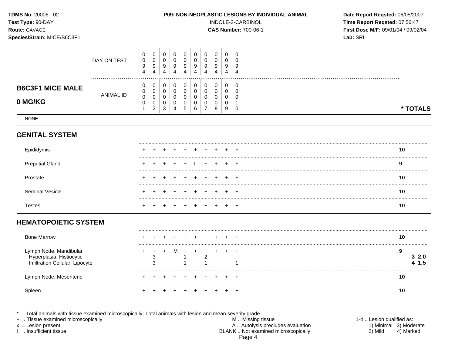| <b>TDMS No. 20006 - 02</b><br>Test Type: 90-DAY<br><b>Route: GAVAGE</b><br>Species/Strain: MICE/B6C3F1 | <b>P09: NON-NEOPLASTIC LESIONS BY INDIVIDUAL ANIMAL</b><br>INDOLE-3-CARBINOL<br><b>CAS Number: 700-06-1</b> |                            |                                              |                       |                       |                       |                       | Date Report Reqsted: 06/05/2007<br>Time Report Reqsted: 07:56:47<br>First Dose M/F: 09/01/04 / 09/02/04<br>Lab: SRI |                                 |                       |                         |  |          |  |
|--------------------------------------------------------------------------------------------------------|-------------------------------------------------------------------------------------------------------------|----------------------------|----------------------------------------------|-----------------------|-----------------------|-----------------------|-----------------------|---------------------------------------------------------------------------------------------------------------------|---------------------------------|-----------------------|-------------------------|--|----------|--|
|                                                                                                        | DAY ON TEST                                                                                                 | 0<br>0<br>9<br>4           | 0<br>0<br>9<br>4                             | 0<br>0<br>9<br>4      | 0<br>0<br>9<br>4      | 0<br>0<br>9<br>4      | 0<br>0<br>9<br>4      | 0<br>0<br>9<br>4                                                                                                    | 0<br>0<br>9<br>4                | 0<br>0<br>9<br>4      | 0<br>$\Omega$<br>9<br>4 |  |          |  |
| <b>B6C3F1 MICE MALE</b><br>0 MG/KG                                                                     | <br><b>ANIMAL ID</b>                                                                                        | 0<br>0<br>$\mathbf 0$<br>0 | 0<br>0<br>$\mathbf 0$<br>0<br>$\overline{2}$ | 0<br>0<br>0<br>0<br>3 | 0<br>0<br>0<br>0<br>4 | 0<br>0<br>0<br>0<br>5 | 0<br>0<br>0<br>0<br>6 | 0<br>0<br>0<br>0<br>$\overline{7}$                                                                                  | 0<br>$\mathbf 0$<br>0<br>0<br>8 | 0<br>0<br>0<br>0<br>9 | 0<br>0<br>0<br>$\Omega$ |  | * TOTALS |  |
| <b>NONE</b>                                                                                            |                                                                                                             |                            |                                              |                       |                       |                       |                       |                                                                                                                     |                                 |                       |                         |  |          |  |
| <b>GENITAL SYSTEM</b>                                                                                  |                                                                                                             |                            |                                              |                       |                       |                       |                       |                                                                                                                     |                                 |                       |                         |  |          |  |
| Epididymis                                                                                             |                                                                                                             |                            |                                              |                       |                       |                       |                       |                                                                                                                     |                                 |                       |                         |  | 10       |  |
| <b>Preputial Gland</b>                                                                                 |                                                                                                             |                            |                                              |                       |                       |                       |                       |                                                                                                                     |                                 |                       |                         |  | 9        |  |
| Prostate                                                                                               |                                                                                                             |                            |                                              |                       |                       |                       |                       |                                                                                                                     |                                 |                       |                         |  | 10       |  |
| Seminal Vesicle                                                                                        |                                                                                                             |                            |                                              |                       |                       |                       |                       |                                                                                                                     |                                 |                       |                         |  | 10       |  |
| <b>Testes</b>                                                                                          |                                                                                                             |                            |                                              |                       |                       |                       |                       |                                                                                                                     |                                 |                       | $\pm$                   |  | 10       |  |

# **HEMATOPOIETIC SYSTEM**

| <b>Bone Marrow</b>                                                                    |                 |   |  |  |  | 10   |
|---------------------------------------------------------------------------------------|-----------------|---|--|--|--|------|
| Lymph Node, Mandibular<br>Hyperplasia, Histiocytic<br>Infiltration Cellular, Lipocyte | $\sqrt{2}$<br>3 | M |  |  |  | -2.0 |
| Lymph Node, Mesenteric                                                                |                 |   |  |  |  | 10   |
|                                                                                       |                 |   |  |  |  | 10   |

\* .. Total animals with tissue examined microscopically; Total animals with lesion and mean severity grade<br>
+ .. Tissue examined microscopically<br>
x .. Lesion present<br>
1 .. Insufficient tissue<br>
1 .. Insufficient tissue<br>
1 . Page 4

1-4 .. Lesion qualified as:<br>1) Minimal 3) Moderate  $2)$  Mild 4) Marked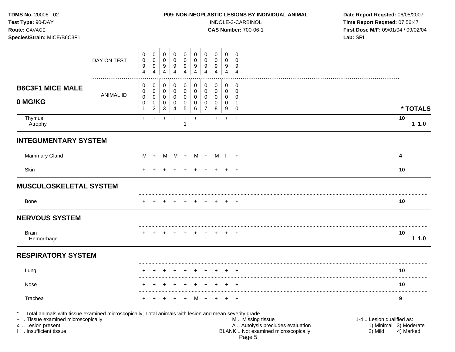| <b>TDMS No. 20006 - 02</b>  | <b>P09: NON-NEOPLASTIC LESIONS BY INDIVIDUAL ANIMAL</b> | Date Rep         |
|-----------------------------|---------------------------------------------------------|------------------|
| Test Type: 90-DAY           | INDOLE-3-CARBINOL                                       | Time Rep         |
| <b>Route: GAVAGE</b>        | <b>CAS Number: 700-06-1</b>                             | <b>First Dos</b> |
| Species/Strain: MICE/B6C3F1 |                                                         | Lab: SRI         |

## **P09: NON-NEOPLASTIC LESIONS BY INDIVIDUAL ANIMAL Date Report Reqsted: 06/05/2007**

INDOLE-3-CARBINOL **Time Report Reqsted:** 07:56:47 **Route:** GAVAGE **CAS Number:** 700-06-1 **First Dose M/F:** 09/01/04 / 09/02/04

|                                                                                                                                                                     | DAY ON TEST      | 0<br>0<br>9<br>$\overline{4}$            | $\mathbf 0$<br>0<br>9<br>4         | 0<br>$\mathbf 0$<br>9<br>$\overline{4}$   | 0<br>$\mathbf 0$<br>9<br>$\overline{4}$ | $\mathbf 0$<br>$\mathbf 0$<br>9<br>4          | 0<br>$\mathbf 0$<br>9<br>4      | 0<br>0<br>9<br>$\overline{4}$              | $\mathbf 0$<br>0<br>9<br>4 | 0<br>$\mathbf 0$<br>9<br>$\overline{4}$   | 0<br>$\mathbf 0$<br>9<br>$\overline{4}$                     |                                                     |
|---------------------------------------------------------------------------------------------------------------------------------------------------------------------|------------------|------------------------------------------|------------------------------------|-------------------------------------------|-----------------------------------------|-----------------------------------------------|---------------------------------|--------------------------------------------|----------------------------|-------------------------------------------|-------------------------------------------------------------|-----------------------------------------------------|
| <b>B6C3F1 MICE MALE</b><br>0 MG/KG                                                                                                                                  | <b>ANIMAL ID</b> | 0<br>0<br>$\pmb{0}$<br>0<br>$\mathbf{1}$ | 0<br>0<br>0<br>0<br>$\overline{2}$ | 0<br>$\mathbf 0$<br>$\mathbf 0$<br>0<br>3 | 0<br>0<br>$\mathsf{O}\xspace$<br>0<br>4 | 0<br>$\mathbf 0$<br>0<br>0<br>$5\phantom{.0}$ | 0<br>$\mathbf 0$<br>0<br>0<br>6 | 0<br>$\pmb{0}$<br>0<br>0<br>$\overline{7}$ | 0<br>0<br>0<br>0<br>8      | 0<br>$\mathbf 0$<br>0<br>$\mathbf 0$<br>9 | 0<br>$\mathbf 0$<br>$\Omega$<br>$\mathbf{1}$<br>$\mathbf 0$ | * TOTALS                                            |
| Thymus<br>Atrophy                                                                                                                                                   |                  | $+$                                      | $\ddot{}$                          | $\ddot{}$                                 | $+$                                     | $+$<br>-1                                     | $+$                             | $+$                                        | $\ddot{}$                  | $+$                                       | $+$                                                         | 10<br>11.0                                          |
| <b>INTEGUMENTARY SYSTEM</b>                                                                                                                                         |                  |                                          |                                    |                                           |                                         |                                               |                                 |                                            |                            |                                           |                                                             |                                                     |
| Mammary Gland                                                                                                                                                       |                  | м                                        |                                    | M                                         |                                         | M +                                           | M                               | $+$                                        | M I                        |                                           |                                                             | 4                                                   |
| Skin                                                                                                                                                                |                  | $\pm$                                    |                                    |                                           |                                         |                                               |                                 |                                            |                            | $\div$                                    | $\overline{ }$                                              | 10                                                  |
| <b>MUSCULOSKELETAL SYSTEM</b>                                                                                                                                       |                  |                                          |                                    |                                           |                                         |                                               |                                 |                                            |                            |                                           |                                                             |                                                     |
| <b>Bone</b>                                                                                                                                                         |                  |                                          |                                    |                                           |                                         |                                               |                                 |                                            |                            |                                           |                                                             | 10                                                  |
| <b>NERVOUS SYSTEM</b>                                                                                                                                               |                  |                                          |                                    |                                           |                                         |                                               |                                 |                                            |                            |                                           |                                                             |                                                     |
| <b>Brain</b><br>Hemorrhage                                                                                                                                          |                  |                                          |                                    |                                           |                                         |                                               |                                 |                                            |                            |                                           | $^{+}$                                                      | 10<br>11.0                                          |
| <b>RESPIRATORY SYSTEM</b>                                                                                                                                           |                  |                                          |                                    |                                           |                                         |                                               |                                 |                                            |                            |                                           |                                                             |                                                     |
| Lung                                                                                                                                                                |                  |                                          |                                    |                                           |                                         |                                               |                                 |                                            |                            |                                           |                                                             | 10                                                  |
| Nose                                                                                                                                                                |                  |                                          |                                    |                                           |                                         |                                               |                                 |                                            |                            |                                           |                                                             | 10                                                  |
| Trachea                                                                                                                                                             |                  |                                          |                                    |                                           |                                         |                                               | M                               |                                            |                            |                                           | $\ddot{}$                                                   | 9                                                   |
| *  Total animals with tissue examined microscopically; Total animals with lesion and mean severity grade<br>+  Tissue examined microscopically<br>x  Lesion present |                  |                                          |                                    |                                           |                                         |                                               |                                 |                                            |                            |                                           | M  Missing tissue<br>A  Autolysis precludes evaluation      | 1-4  Lesion qualified as:<br>1) Minimal 3) Moderate |

I .. Insufficient tissue BLANK .. Not examined microscopically 2) Mild 4) Marked

Page 5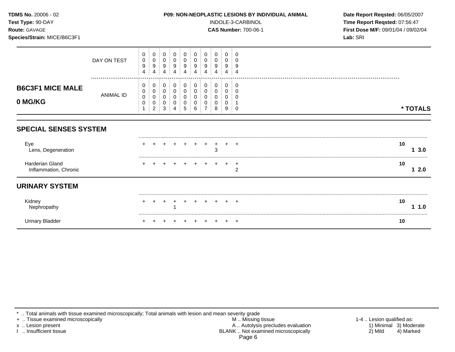| TDMS No. 20006 - 02<br>Test Type: 90-DAY<br>Route: GAVAGE<br>Species/Strain: MICE/B6C3F1 |                      |                       |                       |                       |                                 | <b>P09: NON-NEOPLASTIC LESIONS BY INDIVIDUAL ANIMAL</b> |                                 |                                              | INDOLE-3-CARBINOL<br><b>CAS Number: 700-06-1</b> | Date Report Reqsted: 06/05/2007<br>Time Report Reqsted: 07:56:47<br>First Dose M/F: 09/01/04 / 09/02/04<br>Lab: SRI |                                              |            |
|------------------------------------------------------------------------------------------|----------------------|-----------------------|-----------------------|-----------------------|---------------------------------|---------------------------------------------------------|---------------------------------|----------------------------------------------|--------------------------------------------------|---------------------------------------------------------------------------------------------------------------------|----------------------------------------------|------------|
|                                                                                          | DAY ON TEST          | 0<br>0<br>9<br>4      | 0<br>0<br>9<br>4      | 0<br>0<br>9<br>4      | 0<br>0<br>9<br>$\overline{4}$   | 0<br>0<br>$\boldsymbol{9}$<br>4                         | 0<br>0<br>$\boldsymbol{9}$<br>4 | 0<br>0<br>9<br>4                             | 0<br>0<br>9<br>4                                 | 0<br>0<br>9<br>4                                                                                                    | $\Omega$<br>$\Omega$<br>9<br>4               |            |
| <b>B6C3F1 MICE MALE</b><br>0 MG/KG                                                       | <br><b>ANIMAL ID</b> | 0<br>0<br>0<br>0<br>1 | 0<br>0<br>0<br>0<br>2 | 0<br>0<br>0<br>0<br>3 | $\mathbf 0$<br>0<br>0<br>0<br>4 | 0<br>0<br>0<br>0<br>5                                   | 0<br>0<br>0<br>0<br>6           | $\mathbf 0$<br>0<br>0<br>0<br>$\overline{7}$ | 0<br>0<br>0<br>0<br>8                            | 0<br>0<br>0<br>0<br>9                                                                                               | $\Omega$<br>$\Omega$<br>$\Omega$<br>$\Omega$ | * TOTALS   |
| <b>SPECIAL SENSES SYSTEM</b>                                                             |                      |                       |                       |                       |                                 |                                                         |                                 |                                              |                                                  |                                                                                                                     |                                              |            |
| Eye<br>Lens, Degeneration                                                                |                      |                       |                       |                       |                                 |                                                         |                                 |                                              | 3                                                |                                                                                                                     |                                              | 10<br>13.0 |
| Harderian Gland<br>Inflammation, Chronic                                                 |                      |                       |                       |                       |                                 |                                                         |                                 |                                              |                                                  |                                                                                                                     | $\overline{2}$                               | 10<br>12.0 |
| <b>URINARY SYSTEM</b>                                                                    |                      |                       |                       |                       |                                 |                                                         |                                 |                                              |                                                  |                                                                                                                     |                                              |            |
| Kidney<br>Nephropathy                                                                    |                      |                       |                       |                       |                                 |                                                         |                                 |                                              |                                                  |                                                                                                                     |                                              | 10<br>1.0  |
| <b>Urinary Bladder</b>                                                                   |                      |                       |                       |                       |                                 |                                                         |                                 |                                              |                                                  |                                                                                                                     | $\pm$                                        | 10         |

\* .. Total animals with tissue examined microscopically; Total animals with lesion and mean severity grade

+ .. Tissue examined microscopically M .. Missing tissue 1-4 .. Lesion qualified as: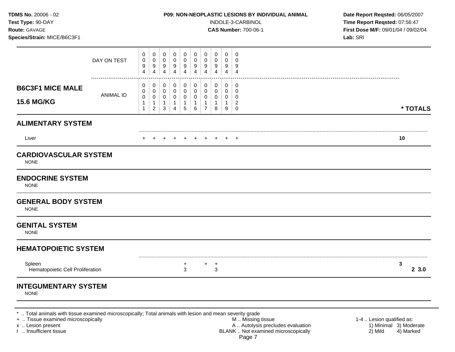**Test Type:** 90-DAY INDOLE-3-CARBINOL **Time Report Reqsted:** 07:56:47 **Route:** GAVAGE **CAS Number:** 700-06-1 **First Dose M/F:** 09/01/04 / 09/02/04 **Species/Strain:** MICE/B6C3F1 **Lab:** SRI

|                                             | DAY ON TEST      | 0<br>0<br>9<br>$\overline{4}$               | 0<br>0<br>9<br>$\overline{4}$       | 0<br>0<br>9<br>$\overline{4}$                            | 0<br>0<br>9<br>4                                       | 0<br>0<br>9<br>$\overline{4}$              | 0<br>0<br>9<br>4           | 0<br>0<br>9<br>4                    | 0<br>0<br>9<br>$\boldsymbol{\Lambda}$  | 0<br>0<br>9<br>$\overline{4}$                   | 0<br>0<br>9<br>$\overline{4}$                |           |
|---------------------------------------------|------------------|---------------------------------------------|-------------------------------------|----------------------------------------------------------|--------------------------------------------------------|--------------------------------------------|----------------------------|-------------------------------------|----------------------------------------|-------------------------------------------------|----------------------------------------------|-----------|
| <b>B6C3F1 MICE MALE</b>                     |                  | 0<br>0                                      | 0<br>0                              | 0<br>$\pmb{0}$                                           | 0<br>0                                                 | 0<br>$\pmb{0}$                             | 0<br>0                     | 0<br>0                              | 0<br>0                                 | 0<br>0                                          | 0<br>$\mathbf 0$                             |           |
| <b>15.6 MG/KG</b>                           | <b>ANIMAL ID</b> | $\mathbf 0$<br>$\mathbf{1}$<br>$\mathbf{1}$ | 0<br>$\mathbf{1}$<br>$\overline{2}$ | $\mathbf 0$<br>$\mathbf{1}$<br>$\ensuremath{\mathsf{3}}$ | $\mathbf 0$<br>$\mathbf{1}$<br>$\overline{\mathbf{4}}$ | $\mathbf 0$<br>$\mathbf{1}$<br>$\,$ 5 $\,$ | 0<br>$\mathbf{1}$<br>$\,6$ | 0<br>$\mathbf{1}$<br>$\overline{7}$ | $\mathbf 0$<br>$\mathbf{1}$<br>$\,8\,$ | $\mathbf 0$<br>$\mathbf{1}$<br>$\boldsymbol{9}$ | $\mathbf 0$<br>$\overline{c}$<br>$\mathbf 0$ | * TOTALS  |
| <b>ALIMENTARY SYSTEM</b>                    |                  |                                             |                                     |                                                          |                                                        |                                            |                            |                                     |                                        |                                                 |                                              |           |
| Liver                                       |                  |                                             |                                     |                                                          |                                                        |                                            |                            |                                     |                                        |                                                 |                                              | 10        |
| <b>CARDIOVASCULAR SYSTEM</b><br><b>NONE</b> |                  |                                             |                                     |                                                          |                                                        |                                            |                            |                                     |                                        |                                                 |                                              |           |
| <b>ENDOCRINE SYSTEM</b><br><b>NONE</b>      |                  |                                             |                                     |                                                          |                                                        |                                            |                            |                                     |                                        |                                                 |                                              |           |
| <b>GENERAL BODY SYSTEM</b><br><b>NONE</b>   |                  |                                             |                                     |                                                          |                                                        |                                            |                            |                                     |                                        |                                                 |                                              |           |
| <b>GENITAL SYSTEM</b><br><b>NONE</b>        |                  |                                             |                                     |                                                          |                                                        |                                            |                            |                                     |                                        |                                                 |                                              |           |
| <b>HEMATOPOIETIC SYSTEM</b>                 |                  |                                             |                                     |                                                          |                                                        |                                            |                            |                                     |                                        |                                                 |                                              |           |
| Spleen<br>Hematopoietic Cell Proliferation  |                  |                                             |                                     |                                                          |                                                        | $\ddot{}$<br>$\mathbf{3}$                  |                            | $+$                                 | $^{+}$<br>3                            |                                                 |                                              | 3<br>23.0 |
| <b>INTEGUMENTARY SYSTEM</b><br><b>NONE</b>  |                  |                                             |                                     |                                                          |                                                        |                                            |                            |                                     |                                        |                                                 |                                              |           |
|                                             |                  |                                             |                                     |                                                          |                                                        |                                            |                            |                                     |                                        |                                                 |                                              |           |

\* .. Total animals with tissue examined microscopically; Total animals with lesion and mean severity grade

+ .. Tissue examined microscopically M .. Missing tissue 1-4 .. Lesion qualified as: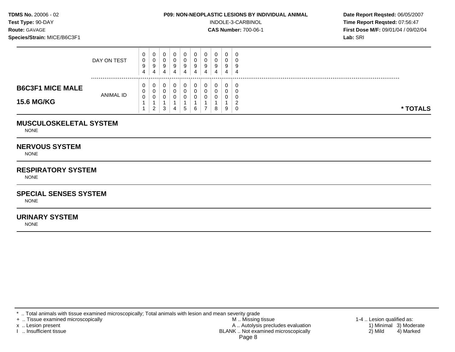**Test Type:**  $90-DAY$  **INDOLE-3-CARBINOL Time Report Reqsted: 07:56:47 Route:** GAVAGE **CAS Number:** 700-06-1 **First Dose M/F:** 09/01/04 / 09/02/04 **Species/Strain:** MICE/B6C3F1 **Lab:** SRI

|                         | DAY ON TEST      | 0<br>0<br>9 | U<br>◡<br>9        | U<br>J<br>9 | U<br>ν<br>9 | a | U<br>9 |   | 0<br>0<br>9 | U<br>U<br>9 | - 0      |  |
|-------------------------|------------------|-------------|--------------------|-------------|-------------|---|--------|---|-------------|-------------|----------|--|
|                         |                  | 4           | 4                  | 4           | 4           |   | 4      | 4 | 4           | 4           | -4       |  |
| <b>B6C3F1 MICE MALE</b> | <b>ANIMAL ID</b> | 0<br>0      | U<br>U             | U<br>U      | υ<br>ν      |   |        |   | 0<br>0      | 0<br>0      | - G      |  |
| <b>15.6 MG/KG</b>       |                  | 0           | ◡<br>ົ<br><u>_</u> | ີ<br>v      | 4           |   | 6      |   | 0<br>8      | U<br>9      | * TOTALS |  |

## **MUSCULOSKELETAL SYSTEM**

NONE

## **NERVOUS SYSTEM**

NONE

# **RESPIRATORY SYSTEM**

**NONE** 

# **SPECIAL SENSES SYSTEM**

NONE

## **URINARY SYSTEM**

NONE

\* .. Total animals with tissue examined microscopically; Total animals with lesion and mean severity grade<br>+ .. Tissue examined microscopically

+ .. Tissue examined microscopically the state of the state of the M .. Missing tissue 1-4 .. Lesion qualified as: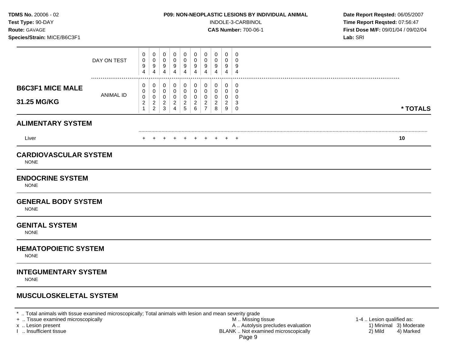**Test Type:** 90-DAY INDOLE-3-CARBINOL **Time Report Reqsted:** 07:56:47 **Route:** GAVAGE **CAS Number:** 700-06-1 **First Dose M/F:** 09/01/04 / 09/02/04 **Species/Strain:** MICE/B6C3F1 **Lab:** SRI

|                                                                                       | DAY ON TEST          | 0<br>0<br>9<br>4                              | 0<br>0<br>$\boldsymbol{9}$<br>$\overline{4}$    | 0<br>$\mathbf 0$<br>9<br>$\overline{4}$       | 0<br>$\mathbf 0$<br>$\boldsymbol{9}$<br>$\overline{4}$              | 0<br>$\mathbf 0$<br>9<br>$\overline{4}$                         | 0<br>0<br>9<br>$\overline{4}$                                | 0<br>0<br>9<br>$\overline{4}$                                    | 0<br>0<br>9<br>4                             | 0<br>0<br>9<br>4                       | $\mathbf 0$<br>0<br>9<br>$\overline{4}$          |          |  |
|---------------------------------------------------------------------------------------|----------------------|-----------------------------------------------|-------------------------------------------------|-----------------------------------------------|---------------------------------------------------------------------|-----------------------------------------------------------------|--------------------------------------------------------------|------------------------------------------------------------------|----------------------------------------------|----------------------------------------|--------------------------------------------------|----------|--|
| <b>B6C3F1 MICE MALE</b><br>31.25 MG/KG                                                | <br><b>ANIMAL ID</b> | 0<br>0<br>0<br>$\overline{c}$<br>$\mathbf{1}$ | 0<br>0<br>0<br>$\overline{c}$<br>$\overline{2}$ | 0<br>0<br>0<br>$\overline{2}$<br>$\mathbf{3}$ | 0<br>$\mathbf 0$<br>$\mathbf 0$<br>$\overline{a}$<br>$\overline{4}$ | 0<br>$\mathbf 0$<br>$\mathbf 0$<br>$\overline{c}$<br>$\sqrt{5}$ | 0<br>$\mathbf 0$<br>$\mathbf 0$<br>$\overline{c}$<br>$\,6\,$ | 0<br>$\mathbf 0$<br>$\Omega$<br>$\overline{c}$<br>$\overline{7}$ | 0<br>$\mathbf 0$<br>0<br>$\overline{c}$<br>8 | 0<br>0<br>0<br>$\overline{c}$<br>$9\,$ | 0<br>$\mathbf 0$<br>$\Omega$<br>3<br>$\mathbf 0$ | * TOTALS |  |
| <b>ALIMENTARY SYSTEM</b>                                                              |                      |                                               |                                                 |                                               |                                                                     |                                                                 |                                                              |                                                                  |                                              |                                        |                                                  |          |  |
| Liver                                                                                 |                      | $\pm$                                         |                                                 | $+$                                           | $+$                                                                 | $+$                                                             | $+$                                                          | $+$                                                              | $+$                                          | $+$                                    | $\overline{+}$                                   | 10       |  |
| <b>CARDIOVASCULAR SYSTEM</b><br><b>NONE</b><br><b>ENDOCRINE SYSTEM</b><br><b>NONE</b> |                      |                                               |                                                 |                                               |                                                                     |                                                                 |                                                              |                                                                  |                                              |                                        |                                                  |          |  |
| <b>GENERAL BODY SYSTEM</b><br><b>NONE</b>                                             |                      |                                               |                                                 |                                               |                                                                     |                                                                 |                                                              |                                                                  |                                              |                                        |                                                  |          |  |
| <b>GENITAL SYSTEM</b><br><b>NONE</b>                                                  |                      |                                               |                                                 |                                               |                                                                     |                                                                 |                                                              |                                                                  |                                              |                                        |                                                  |          |  |
| <b>HEMATOPOIETIC SYSTEM</b><br><b>NONE</b>                                            |                      |                                               |                                                 |                                               |                                                                     |                                                                 |                                                              |                                                                  |                                              |                                        |                                                  |          |  |
| <b>INTEGUMENTARY SYSTEM</b><br><b>NONE</b>                                            |                      |                                               |                                                 |                                               |                                                                     |                                                                 |                                                              |                                                                  |                                              |                                        |                                                  |          |  |
| <b>MUSCULOSKELETAL SYSTEM</b>                                                         |                      |                                               |                                                 |                                               |                                                                     |                                                                 |                                                              |                                                                  |                                              |                                        |                                                  |          |  |

\* .. Total animals with tissue examined microscopically; Total animals with lesion and mean severity grade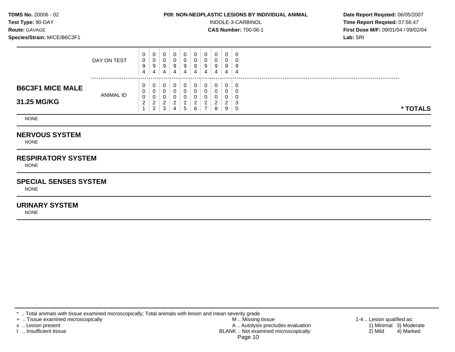**Test Type:**  $90-DAY$  **INDOLE-3-CARBINOL Time Report Reqsted: 07:56:47 Route:** GAVAGE **CAS Number:** 700-06-1 **First Dose M/F:** 09/01/04 / 09/02/04 **Species/Strain:** MICE/B6C3F1 **Lab:** SRI

|                                        | DAY ON TEST | υ<br>0<br>9<br>4                            | 0<br>0<br>9<br>4                                       | U<br>υ<br>9<br>4                   | č<br>4 | 9<br>4      | 0<br>0<br>9<br>4            | 0<br>0<br>-9<br>4              | U.<br>υ<br>9<br>4                      | U<br>Ч<br>4 |          |
|----------------------------------------|-------------|---------------------------------------------|--------------------------------------------------------|------------------------------------|--------|-------------|-----------------------------|--------------------------------|----------------------------------------|-------------|----------|
| <b>B6C3F1 MICE MALE</b><br>31.25 MG/KG | ANIMAL ID   | v<br>v<br>$\sim$<br>υ<br>$\sim$<br><u>_</u> | 0<br>0<br>0<br>ົ<br><u>_</u><br>$\Omega$<br>$\epsilon$ | U<br>ັບ<br>$\sim$<br><u>_</u><br>3 |        | ◠<br>∽<br>J | 0<br>υ<br><sup>o</sup><br>6 | 0<br>0<br>0<br>$\sqrt{2}$<br>8 | 0<br>v<br>v<br>$\sim$<br><u>_</u><br>9 | U<br>u      | * TOTALS |

NONE

# **NERVOUS SYSTEM**

NONE

# **RESPIRATORY SYSTEM**

NONE

### **SPECIAL SENSES SYSTEM**

NONE

# **URINARY SYSTEM**

NONE

\* .. Total animals with tissue examined microscopically; Total animals with lesion and mean severity grade<br>+ .. Tissue examined microscopically

+ .. Tissue examined microscopically the state of the state of the M .. Missing tissue 1-4 .. Lesion qualified as: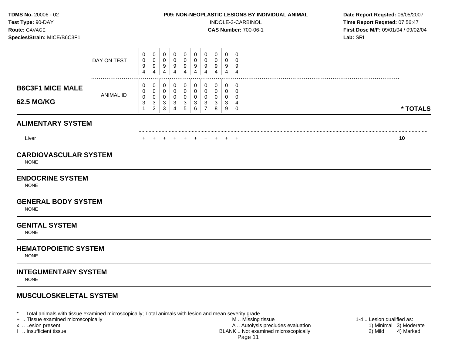**Test Type:** 90-DAY INDOLE-3-CARBINOL **Time Report Reqsted:** 07:56:47 **Route:** GAVAGE **CAS Number:** 700-06-1 **First Dose M/F:** 09/01/04 / 09/02/04 **Species/Strain:** MICE/B6C3F1 **Lab:** SRI

|                                                                                                                                    | DAY ON TEST      | 0<br>0<br>9<br>4                 | 0<br>0<br>9<br>$\overline{4}$               | 0<br>0<br>$\boldsymbol{9}$<br>$\overline{4}$             | $\mathbf 0$<br>0<br>9<br>$\overline{4}$                              | 0<br>0<br>9<br>$\overline{4}$  | 0<br>0<br>9<br>$\overline{4}$    | $\mathbf 0$<br>0<br>9<br>4                          | 0<br>0<br>9<br>4                | $\mathbf 0$<br>0<br>9<br>$\overline{4}$ | $\mathbf 0$<br>0<br>9<br>$\overline{4}$ |          |
|------------------------------------------------------------------------------------------------------------------------------------|------------------|----------------------------------|---------------------------------------------|----------------------------------------------------------|----------------------------------------------------------------------|--------------------------------|----------------------------------|-----------------------------------------------------|---------------------------------|-----------------------------------------|-----------------------------------------|----------|
| <b>B6C3F1 MICE MALE</b><br><b>62.5 MG/KG</b>                                                                                       | <b>ANIMAL ID</b> | 0<br>0<br>0<br>3<br>$\mathbf{1}$ | 0<br>0<br>0<br>$\sqrt{3}$<br>$\overline{c}$ | 0<br>0<br>0<br>$\ensuremath{\mathsf{3}}$<br>$\mathbf{3}$ | 0<br>$\mathbf 0$<br>0<br>$\ensuremath{\mathsf{3}}$<br>$\overline{4}$ | 0<br>0<br>0<br>3<br>$\sqrt{5}$ | 0<br>0<br>0<br>$\mathbf{3}$<br>6 | $\mathbf 0$<br>0<br>$\Omega$<br>3<br>$\overline{7}$ | 0<br>$\mathbf 0$<br>0<br>3<br>8 | 0<br>$\mathbf 0$<br>0<br>3<br>9         | 0<br>0<br>$\Omega$<br>4<br>$\mathbf 0$  | * TOTALS |
| <b>ALIMENTARY SYSTEM</b>                                                                                                           |                  |                                  |                                             |                                                          |                                                                      |                                |                                  |                                                     |                                 |                                         |                                         |          |
| Liver                                                                                                                              |                  |                                  |                                             | $\pm$                                                    | $\pm$                                                                | $\overline{+}$                 | $+$                              |                                                     |                                 | $\pm$                                   | $\overline{+}$                          | 10       |
| <b>CARDIOVASCULAR SYSTEM</b><br><b>NONE</b><br><b>ENDOCRINE SYSTEM</b><br><b>NONE</b><br><b>GENERAL BODY SYSTEM</b><br><b>NONE</b> |                  |                                  |                                             |                                                          |                                                                      |                                |                                  |                                                     |                                 |                                         |                                         |          |
| <b>GENITAL SYSTEM</b><br><b>NONE</b>                                                                                               |                  |                                  |                                             |                                                          |                                                                      |                                |                                  |                                                     |                                 |                                         |                                         |          |
| <b>HEMATOPOIETIC SYSTEM</b><br><b>NONE</b>                                                                                         |                  |                                  |                                             |                                                          |                                                                      |                                |                                  |                                                     |                                 |                                         |                                         |          |
| <b>INTEGUMENTARY SYSTEM</b><br><b>NONE</b>                                                                                         |                  |                                  |                                             |                                                          |                                                                      |                                |                                  |                                                     |                                 |                                         |                                         |          |
| <b>MUSCULOSKELETAL SYSTEM</b>                                                                                                      |                  |                                  |                                             |                                                          |                                                                      |                                |                                  |                                                     |                                 |                                         |                                         |          |

\* .. Total animals with tissue examined microscopically; Total animals with lesion and mean severity grade<br>+ .. Tissue examined microscopically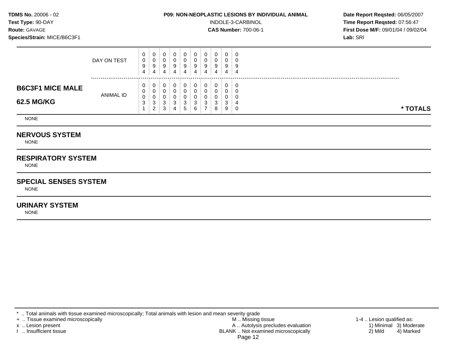**Test Type:**  $90-DAY$  **INDOLE-3-CARBINOL Time Report Reqsted: 07:56:47 Route:** GAVAGE **CAS Number:** 700-06-1 **First Dose M/F:** 09/01/04 / 09/02/04 **Species/Strain:** MICE/B6C3F1 **Lab:** SRI

|                         | DAY ON TEST | U<br>0<br>9<br>4 | 0<br>$\overline{0}$<br>9<br>4 | 0<br>U<br>9<br>4 | 9<br>4 | 0<br>O<br>9<br>4 | U<br>υ<br>9<br>4 | U<br>g     | 0<br>U<br>9<br>4  | v<br>4 | U<br>Ч<br>- 4 |          |
|-------------------------|-------------|------------------|-------------------------------|------------------|--------|------------------|------------------|------------|-------------------|--------|---------------|----------|
| <b>B6C3F1 MICE MALE</b> | ANIMAL ID   | υ                | $\mathbf{0}$<br>0             | 0<br>0           |        | 0<br>O           | υ                |            |                   |        | C             |          |
| 62.5 MG/KG              |             | 0<br>◡           | 0<br>3<br>ົ<br>∠              | U<br>◠<br>د<br>3 | P      | O<br>-3<br>. 5   | ◠<br>ັ<br>6      | $\sqrt{2}$ | $\sim$<br>د.<br>8 |        | J             | * TOTALS |

NONE

# **NERVOUS SYSTEM**

NONE

# **RESPIRATORY SYSTEM**

NONE

### **SPECIAL SENSES SYSTEM**

NONE

# **URINARY SYSTEM**

NONE

\* .. Total animals with tissue examined microscopically; Total animals with lesion and mean severity grade<br>+ .. Tissue examined microscopically

+ .. Tissue examined microscopically the state of the state of the M .. Missing tissue 1-4 .. Lesion qualified as: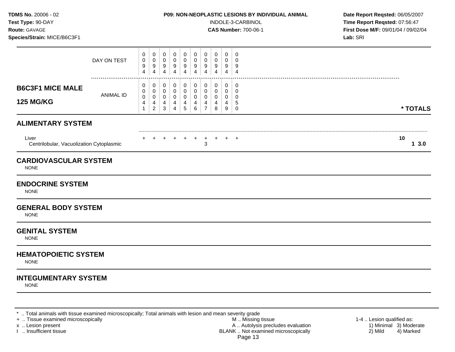**Test Type:** 90-DAY INDOLE-3-CARBINOL **Time Report Reqsted:** 07:56:47 **Route:** GAVAGE **CAS Number:** 700-06-1 **First Dose M/F:** 09/01/04 / 09/02/04

|                             |                                                                                                                                                                   |                                                                |                                         |                                                   |                                                     |                                                                          |                                                           |                                       |                                                 |                                                     | Lab: SRI   |
|-----------------------------|-------------------------------------------------------------------------------------------------------------------------------------------------------------------|----------------------------------------------------------------|-----------------------------------------|---------------------------------------------------|-----------------------------------------------------|--------------------------------------------------------------------------|-----------------------------------------------------------|---------------------------------------|-------------------------------------------------|-----------------------------------------------------|------------|
| DAY ON TEST                 | 0<br>0<br>9<br>4                                                                                                                                                  | $\pmb{0}$<br>0<br>9<br>$\overline{4}$                          | $\mathbf 0$<br>0<br>9<br>$\overline{4}$ | $\mathbf 0$<br>$\mathbf 0$<br>9<br>$\overline{4}$ | 0<br>$\mathsf{O}\xspace$<br>$9\,$<br>$\overline{4}$ | $\mathbf 0$<br>$\mathsf{O}\xspace$<br>$\boldsymbol{9}$<br>$\overline{4}$ | $\mathbf 0$<br>$\mathbf 0$<br>9<br>$\overline{4}$         | $\pmb{0}$<br>0<br>9<br>$\overline{4}$ | $\pmb{0}$<br>$\mathbf 0$<br>9<br>$\overline{4}$ | $\mathbf 0$<br>0<br>$9\,$<br>$\overline{4}$         |            |
| <b>ANIMAL ID</b>            | 0<br>0<br>0<br>$\overline{\mathbf{r}}$<br>$\mathbf{1}$                                                                                                            | 0<br>0<br>$\boldsymbol{0}$<br>$\overline{4}$<br>$\overline{2}$ | 0<br>0<br>0<br>4<br>$\mathbf{3}$        | $\mathbf 0$<br>0<br>0<br>4<br>$\overline{4}$      | 0<br>$\mathbf 0$<br>$\mathbf 0$<br>4<br>5           | $\mathbf 0$<br>0<br>$\mathbf 0$<br>$\overline{4}$<br>$\,6\,$             | 0<br>0<br>$\mathbf 0$<br>$\overline{4}$<br>$\overline{7}$ | 0<br>0<br>0<br>4<br>8                 | $\mathbf 0$<br>0<br>0<br>4<br>$9\,$             | $\mathbf 0$<br>$\mathbf 0$<br>0<br>5<br>$\mathbf 0$ | * TOTALS   |
|                             |                                                                                                                                                                   |                                                                |                                         |                                                   |                                                     |                                                                          |                                                           |                                       |                                                 |                                                     |            |
|                             |                                                                                                                                                                   |                                                                |                                         |                                                   |                                                     | $\ddot{}$                                                                | $\ddot{}$<br>$\sqrt{3}$                                   |                                       |                                                 |                                                     | 10<br>13.0 |
|                             |                                                                                                                                                                   |                                                                |                                         |                                                   |                                                     |                                                                          |                                                           |                                       |                                                 |                                                     |            |
|                             |                                                                                                                                                                   |                                                                |                                         |                                                   |                                                     |                                                                          |                                                           |                                       |                                                 |                                                     |            |
|                             |                                                                                                                                                                   |                                                                |                                         |                                                   |                                                     |                                                                          |                                                           |                                       |                                                 |                                                     |            |
|                             |                                                                                                                                                                   |                                                                |                                         |                                                   |                                                     |                                                                          |                                                           |                                       |                                                 |                                                     |            |
|                             |                                                                                                                                                                   |                                                                |                                         |                                                   |                                                     |                                                                          |                                                           |                                       |                                                 |                                                     |            |
| <b>INTEGUMENTARY SYSTEM</b> |                                                                                                                                                                   |                                                                |                                         |                                                   |                                                     |                                                                          |                                                           |                                       |                                                 |                                                     |            |
|                             | <b>ALIMENTARY SYSTEM</b><br>Centrilobular, Vacuolization Cytoplasmic<br><b>CARDIOVASCULAR SYSTEM</b><br><b>GENERAL BODY SYSTEM</b><br><b>HEMATOPOIETIC SYSTEM</b> |                                                                |                                         |                                                   |                                                     |                                                                          |                                                           |                                       |                                                 | $+$                                                 | $+$ $+$    |

\* .. Total animals with tissue examined microscopically; Total animals with lesion and mean severity grade<br>+ .. Tissue examined microscopically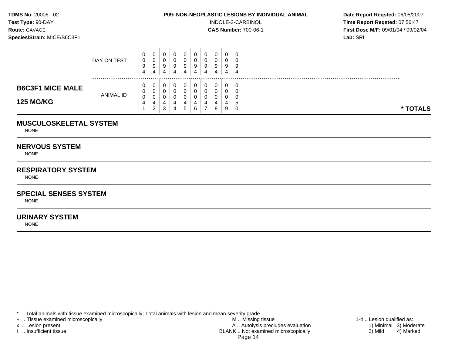**Test Type:**  $90-DAY$  **INDOLE-3-CARBINOL Time Report Reqsted: 07:56:47 Route:** GAVAGE **CAS Number:** 700-06-1 **First Dose M/F:** 09/01/04 / 09/02/04 **Species/Strain:** MICE/B6C3F1 **Lab:** SRI

|                         | DAY ON TEST      | $\mathbf{0}$<br>0<br>9<br>4 | 0<br>0<br>9<br>4 |   | 0<br>U<br>-9<br>4 | 9<br>4   | 0<br>0<br>9<br>4 | 0<br>υ<br>9<br>4 | 0<br>0<br>9 | 0<br>U<br>9<br>4 | - 0<br>Į<br>-4 |  |  |  |  |          |
|-------------------------|------------------|-----------------------------|------------------|---|-------------------|----------|------------------|------------------|-------------|------------------|----------------|--|--|--|--|----------|
| <b>B6C3F1 MICE MALE</b> |                  | 0<br>0                      | 0<br>0           |   | <b>U</b>          | <b>U</b> | U                | U<br>υ           | 0<br>0      | 0<br>O           | - 6            |  |  |  |  |          |
| <b>125 MG/KG</b>        | <b>ANIMAL ID</b> | 0<br>4                      | 0<br>4<br>2      | 3 | 4<br>4            | 4<br>G   | 6                | u<br>-           | 8           | 4<br>9           | ು<br>- 0       |  |  |  |  | * TOTALS |

## **MUSCULOSKELETAL SYSTEM**

NONE

## **NERVOUS SYSTEM**

NONE

# **RESPIRATORY SYSTEM**

**NONE** 

# **SPECIAL SENSES SYSTEM**

NONE

## **URINARY SYSTEM**

NONE

\* .. Total animals with tissue examined microscopically; Total animals with lesion and mean severity grade<br>+ .. Tissue examined microscopically

+ .. Tissue examined microscopically the state of the state of the M .. Missing tissue 1-4 .. Lesion qualified as:

x .. Lesion present 1) Minimal 3) Moderate<br>A .. Autolysis precludes evaluation 1 and 1) Minimal 3) Moderate<br>BLANK .. Not examined microscopically 2) Mild 4) Marked BLANK .. Not examined microscopically Page 14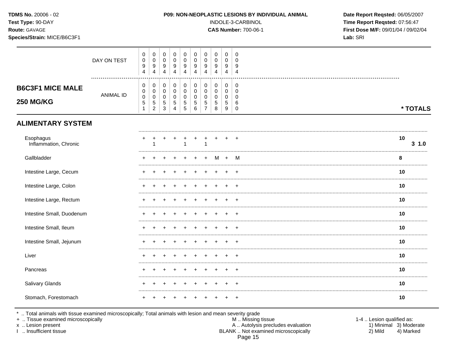| TDMS No. 20006 - 02<br>Test Type: 90-DAY<br>Route: GAVAGE<br>Species/Strain: MICE/B6C3F1 |                  |                                  |                                                                  |                                                      |                                          |                                                                        |                                                                   |                                                              |                                                         |                                                                            |                                                                  | P09: NON-NEOPLASTIC LESIONS BY INDIVIDUAL ANIMAL<br>INDOLE-3-CARBINOL<br><b>CAS Number: 700-06-1</b> | Date Report Reqsted: 06/05/2007<br>Time Report Reqsted: 07:56:47<br>First Dose M/F: 09/01/04 / 09/02/04<br>Lab: SRI |
|------------------------------------------------------------------------------------------|------------------|----------------------------------|------------------------------------------------------------------|------------------------------------------------------|------------------------------------------|------------------------------------------------------------------------|-------------------------------------------------------------------|--------------------------------------------------------------|---------------------------------------------------------|----------------------------------------------------------------------------|------------------------------------------------------------------|------------------------------------------------------------------------------------------------------|---------------------------------------------------------------------------------------------------------------------|
|                                                                                          | DAY ON TEST      | 0<br>$\mathsf 0$<br>9<br>4       | $\mathbf 0$<br>$\pmb{0}$<br>$\boldsymbol{9}$<br>$\overline{4}$   | $\mathbf 0$<br>$\mathbf 0$<br>$\boldsymbol{9}$<br>4  | $\mathbf 0$<br>$\mathbf 0$<br>$9\,$<br>4 | 0<br>$\mathbf 0$<br>$\boldsymbol{9}$<br>$\overline{4}$                 | $\pmb{0}$<br>$\pmb{0}$<br>$\boldsymbol{9}$<br>4                   | 0<br>$\mathbf 0$<br>$\boldsymbol{9}$<br>$\overline{4}$       | 0<br>$\pmb{0}$<br>9<br>$\overline{4}$                   | $\mathbf 0$<br>$\mathbf 0$<br>$9\,$<br>$\overline{4}$                      | $\overline{0}$<br>$\mathbf 0$<br>9<br>$\overline{4}$             |                                                                                                      |                                                                                                                     |
| <b>B6C3F1 MICE MALE</b><br><b>250 MG/KG</b>                                              | <b>ANIMAL ID</b> | 0<br>0<br>0<br>5<br>$\mathbf{1}$ | $\pmb{0}$<br>0<br>$\mathbf 0$<br>$\,$ 5 $\,$<br>$\boldsymbol{2}$ | $\pmb{0}$<br>$\mathbf 0$<br>0<br>$\overline{5}$<br>3 | 0<br>$\mathbf 0$<br>0<br>5<br>4          | $\mathbf 0$<br>$\mathbf 0$<br>$\mathbf 0$<br>$\mathbf 5$<br>$\sqrt{5}$ | $\pmb{0}$<br>$\mathbf 0$<br>$\mathbf 0$<br>$\,$ 5 $\,$<br>$\,6\,$ | $\pmb{0}$<br>0<br>$\pmb{0}$<br>$\,$ 5 $\,$<br>$\overline{7}$ | $\pmb{0}$<br>$\pmb{0}$<br>$\pmb{0}$<br>$\,$ 5 $\,$<br>8 | $\pmb{0}$<br>$\mathbf 0$<br>$\mathbf 0$<br>$\,$ 5 $\,$<br>$\boldsymbol{9}$ | $\mathbf 0$<br>$\overline{0}$<br>$\mathbf 0$<br>6<br>$\mathbf 0$ |                                                                                                      | * TOTALS                                                                                                            |
| <b>ALIMENTARY SYSTEM</b>                                                                 |                  |                                  |                                                                  |                                                      |                                          |                                                                        |                                                                   |                                                              |                                                         |                                                                            |                                                                  |                                                                                                      |                                                                                                                     |
| Esophagus<br>Inflammation, Chronic                                                       |                  |                                  |                                                                  |                                                      |                                          |                                                                        |                                                                   | $\mathbf{1}$                                                 |                                                         |                                                                            |                                                                  |                                                                                                      | 10<br>$3 \t1.0$                                                                                                     |
| Gallbladder                                                                              |                  |                                  |                                                                  |                                                      |                                          |                                                                        |                                                                   |                                                              | М                                                       |                                                                            | м                                                                |                                                                                                      | 8                                                                                                                   |
| Intestine Large, Cecum                                                                   |                  |                                  |                                                                  |                                                      |                                          |                                                                        |                                                                   |                                                              |                                                         |                                                                            |                                                                  |                                                                                                      | 10                                                                                                                  |
| Intestine Large, Colon                                                                   |                  |                                  |                                                                  |                                                      |                                          |                                                                        |                                                                   |                                                              |                                                         |                                                                            |                                                                  |                                                                                                      | 10                                                                                                                  |
| Intestine Large, Rectum                                                                  |                  |                                  |                                                                  |                                                      |                                          |                                                                        |                                                                   |                                                              |                                                         |                                                                            |                                                                  |                                                                                                      | 10                                                                                                                  |
| Intestine Small, Duodenum                                                                |                  |                                  |                                                                  |                                                      |                                          |                                                                        |                                                                   |                                                              |                                                         |                                                                            |                                                                  |                                                                                                      | 10                                                                                                                  |
| Intestine Small, Ileum                                                                   |                  |                                  |                                                                  |                                                      |                                          |                                                                        |                                                                   |                                                              |                                                         |                                                                            |                                                                  |                                                                                                      | 10                                                                                                                  |
| Intestine Small, Jejunum                                                                 |                  |                                  |                                                                  |                                                      |                                          |                                                                        |                                                                   |                                                              |                                                         |                                                                            |                                                                  |                                                                                                      | 10                                                                                                                  |
| Liver                                                                                    |                  |                                  |                                                                  |                                                      |                                          |                                                                        |                                                                   |                                                              |                                                         |                                                                            |                                                                  |                                                                                                      | 10                                                                                                                  |
| Pancreas                                                                                 |                  |                                  |                                                                  |                                                      |                                          |                                                                        |                                                                   |                                                              |                                                         |                                                                            |                                                                  |                                                                                                      | 10                                                                                                                  |
| Salivary Glands                                                                          |                  | ٠                                |                                                                  |                                                      | ÷                                        | $\pm$                                                                  | $\pm$                                                             | $^{+}$                                                       | $\pm$                                                   | $\pm$                                                                      | $\ddot{}$                                                        |                                                                                                      | 10                                                                                                                  |
| Stomach, Forestomach                                                                     |                  |                                  |                                                                  |                                                      |                                          |                                                                        |                                                                   |                                                              |                                                         |                                                                            | $+$                                                              |                                                                                                      | 10                                                                                                                  |

\* .. Total animals with tissue examined microscopically; Total animals with lesion and mean severity grade<br>+ .. Tissue examined microscopically

x .. Lesion present

I .. Insufficient tissue

M .. Missing tissue A .. Autolysis precludes evaluation<br>BLANK .. Not examined microscopically Page 15

1-4 .. Lesion qualified as: 1) Minimal 3) Moderate  $2)$  Mild 4) Marked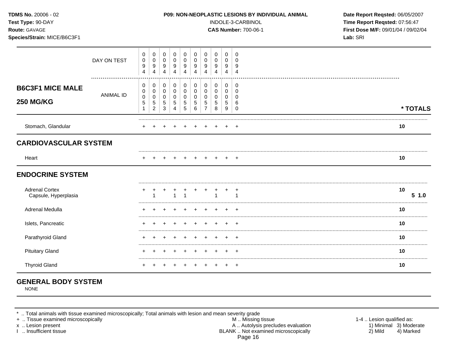| TDMS No. 20006 - 02<br>Test Type: 90-DAY<br>Route: GAVAGE<br>Species/Strain: MICE/B6C3F1 |                  |                                                    |                                    |                                           |                                                                          |                                                    |                                                              |                                                                            |                               |                                   |                                                  | P09: NON-NEOPLASTIC LESIONS BY INDIVIDUAL ANIMAL<br>INDOLE-3-CARBINOL<br><b>CAS Number: 700-06-1</b> | Date Report Reqsted: 06/05/2007<br>Time Report Reqsted: 07:56:47<br>First Dose M/F: 09/01/04 / 09/02/04<br>Lab: SRI |
|------------------------------------------------------------------------------------------|------------------|----------------------------------------------------|------------------------------------|-------------------------------------------|--------------------------------------------------------------------------|----------------------------------------------------|--------------------------------------------------------------|----------------------------------------------------------------------------|-------------------------------|-----------------------------------|--------------------------------------------------|------------------------------------------------------------------------------------------------------|---------------------------------------------------------------------------------------------------------------------|
|                                                                                          | DAY ON TEST      | $\mathbf 0$<br>$\pmb{0}$<br>9<br>4                 | 0<br>0<br>9<br>4                   | 0<br>$\mathbf 0$<br>9<br>$\overline{4}$   | $\mathbf 0$<br>$\mathbf 0$<br>9<br>$\overline{4}$                        | 0<br>$\pmb{0}$<br>9<br>$\overline{4}$              | 0<br>0<br>9<br>4                                             | $\mathbf 0$<br>$\mathbf 0$<br>9<br>4                                       | 0<br>0<br>9<br>$\overline{4}$ | $\mathbf 0$<br>$\Omega$<br>9<br>4 | $\mathbf 0$<br>$\Omega$<br>9<br>$\overline{4}$   |                                                                                                      |                                                                                                                     |
| <b>B6C3F1 MICE MALE</b><br><b>250 MG/KG</b>                                              | <b>ANIMAL ID</b> | 0<br>0<br>$\pmb{0}$<br>$\mathbf 5$<br>$\mathbf{1}$ | 0<br>0<br>0<br>5<br>$\overline{c}$ | 0<br>$\mathbf 0$<br>$\mathbf 0$<br>5<br>3 | $\pmb{0}$<br>$\mathbf 0$<br>$\mathbf 0$<br>$\,$ 5 $\,$<br>$\overline{4}$ | $\mathbf 0$<br>0<br>$\mathbf 0$<br>$\sqrt{5}$<br>5 | $\boldsymbol{0}$<br>$\boldsymbol{0}$<br>0<br>$\sqrt{5}$<br>6 | $\mathbf 0$<br>$\mathbf 0$<br>$\mathbf 0$<br>$\,$ 5 $\,$<br>$\overline{7}$ | 0<br>0<br>$\Omega$<br>5<br>8  | $\pmb{0}$<br>0<br>0<br>5<br>9     | 0<br>$\mathbf 0$<br>$\Omega$<br>6<br>$\mathbf 0$ |                                                                                                      | * TOTALS                                                                                                            |
| Stomach, Glandular                                                                       |                  |                                                    |                                    |                                           |                                                                          |                                                    |                                                              |                                                                            |                               |                                   |                                                  |                                                                                                      | 10                                                                                                                  |
| <b>CARDIOVASCULAR SYSTEM</b>                                                             |                  |                                                    |                                    |                                           |                                                                          |                                                    |                                                              |                                                                            |                               |                                   |                                                  |                                                                                                      |                                                                                                                     |
| Heart                                                                                    |                  |                                                    |                                    |                                           |                                                                          |                                                    |                                                              |                                                                            |                               |                                   | $\pm$                                            |                                                                                                      | 10                                                                                                                  |
| <b>ENDOCRINE SYSTEM</b>                                                                  |                  |                                                    |                                    |                                           |                                                                          |                                                    |                                                              |                                                                            |                               |                                   |                                                  |                                                                                                      |                                                                                                                     |
| <b>Adrenal Cortex</b><br>Capsule, Hyperplasia                                            |                  |                                                    |                                    |                                           |                                                                          |                                                    |                                                              |                                                                            |                               |                                   | $\ddot{}$<br>$\overline{ }$                      |                                                                                                      | 10<br>$5 \; 1.0$                                                                                                    |
| Adrenal Medulla                                                                          |                  |                                                    |                                    |                                           |                                                                          |                                                    |                                                              |                                                                            |                               |                                   |                                                  |                                                                                                      | 10                                                                                                                  |
| Islets, Pancreatic                                                                       |                  |                                                    |                                    |                                           |                                                                          |                                                    |                                                              |                                                                            |                               |                                   |                                                  |                                                                                                      | 10                                                                                                                  |
| Parathyroid Gland                                                                        |                  |                                                    |                                    |                                           |                                                                          |                                                    |                                                              |                                                                            |                               |                                   |                                                  |                                                                                                      | 10                                                                                                                  |
| <b>Pituitary Gland</b>                                                                   |                  |                                                    |                                    |                                           |                                                                          |                                                    |                                                              |                                                                            |                               |                                   |                                                  |                                                                                                      | 10                                                                                                                  |
| <b>Thyroid Gland</b>                                                                     |                  |                                                    |                                    |                                           |                                                                          |                                                    |                                                              |                                                                            |                               |                                   | +                                                |                                                                                                      | 10                                                                                                                  |

# **GENERAL BODY SYSTEM**

NONE

\* .. Total animals with tissue examined microscopically; Total animals with lesion and mean severity grade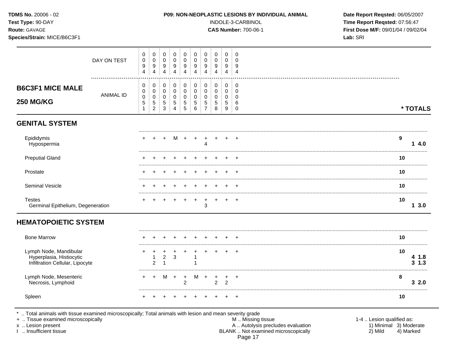| TDMS No. 20006 - 02<br>Test Type: 90-DAY<br>Route: GAVAGE<br>Species/Strain: MICE/B6C3F1 |                  |                          |                                                      |                                                             |                                           |                                      |                                                   |                                                        |                       |                                 |                                                         | P09: NON-NEOPLASTIC LESIONS BY INDIVIDUAL ANIMAL<br>INDOLE-3-CARBINOL<br><b>CAS Number: 700-06-1</b> | Date Report Reqsted: 06/05/2007<br>Time Report Reqsted: 07:56:47<br>First Dose M/F: 09/01/04 / 09/02/04<br>Lab: SRI |                     |
|------------------------------------------------------------------------------------------|------------------|--------------------------|------------------------------------------------------|-------------------------------------------------------------|-------------------------------------------|--------------------------------------|---------------------------------------------------|--------------------------------------------------------|-----------------------|---------------------------------|---------------------------------------------------------|------------------------------------------------------------------------------------------------------|---------------------------------------------------------------------------------------------------------------------|---------------------|
|                                                                                          | DAY ON TEST      | 0<br>$\pmb{0}$<br>9<br>4 | 0<br>$\pmb{0}$<br>9<br>$\overline{4}$                | 0<br>$\Omega$<br>9<br>4                                     | 0<br>$\Omega$<br>9<br>4                   | 0<br>$\Omega$<br>9<br>$\overline{4}$ | 0<br>$\Omega$<br>$9\,$<br>$\overline{\mathbf{4}}$ | 0<br>$\mathbf 0$<br>9<br>4                             | 0<br>0<br>9<br>4      | 0<br>$\Omega$<br>9<br>4         | 0<br>$\Omega$<br>9<br>$\overline{4}$                    |                                                                                                      |                                                                                                                     |                     |
| <b>B6C3F1 MICE MALE</b><br><b>250 MG/KG</b>                                              | <b>ANIMAL ID</b> | 0<br>0<br>$\pmb{0}$<br>5 | 0<br>0<br>$\pmb{0}$<br>$\mathbf 5$<br>$\overline{c}$ | 0<br>$\mathbf 0$<br>$\mathbf 0$<br>$\sqrt{5}$<br>$\sqrt{3}$ | 0<br>$\mathbf 0$<br>$\mathbf 0$<br>5<br>4 | 0<br>0<br>0<br>5<br>5                | 0<br>$\mathbf 0$<br>$\mathbf 0$<br>5<br>$\,6\,$   | 0<br>$\mathbf 0$<br>$\mathbf 0$<br>5<br>$\overline{7}$ | 0<br>0<br>0<br>5<br>8 | 0<br>$\mathbf 0$<br>0<br>5<br>9 | $\mathbf 0$<br>$\Omega$<br>$\Omega$<br>6<br>$\mathbf 0$ |                                                                                                      |                                                                                                                     | * TOTALS            |
| <b>GENITAL SYSTEM</b>                                                                    |                  |                          |                                                      |                                                             |                                           |                                      |                                                   |                                                        |                       |                                 |                                                         |                                                                                                      |                                                                                                                     |                     |
| Epididymis<br>Hypospermia                                                                |                  |                          |                                                      |                                                             |                                           | M +                                  | $+$                                               | $\overline{+}$<br>$\Delta$                             | $+$                   |                                 |                                                         |                                                                                                      | 9                                                                                                                   | 14.0                |
| <b>Preputial Gland</b>                                                                   |                  |                          |                                                      |                                                             |                                           |                                      |                                                   |                                                        |                       |                                 |                                                         |                                                                                                      | 10                                                                                                                  |                     |
| Prostate                                                                                 |                  |                          |                                                      |                                                             |                                           |                                      |                                                   |                                                        |                       |                                 |                                                         |                                                                                                      | 10                                                                                                                  |                     |
| Seminal Vesicle                                                                          |                  |                          |                                                      |                                                             |                                           |                                      |                                                   |                                                        |                       |                                 |                                                         |                                                                                                      | 10                                                                                                                  |                     |
| <b>Testes</b><br>Germinal Epithelium, Degeneration                                       |                  |                          |                                                      |                                                             |                                           | $\ddot{}$                            | $+$                                               | $+$<br>3                                               | $\ddot{}$             |                                 | $\overline{ }$                                          |                                                                                                      | 10                                                                                                                  | 13.0                |
| <b>HEMATOPOIETIC SYSTEM</b>                                                              |                  |                          |                                                      |                                                             |                                           |                                      |                                                   |                                                        |                       |                                 |                                                         |                                                                                                      |                                                                                                                     |                     |
| <b>Bone Marrow</b>                                                                       |                  |                          |                                                      |                                                             |                                           |                                      |                                                   |                                                        |                       |                                 |                                                         |                                                                                                      | 10                                                                                                                  |                     |
| Lymph Node, Mandibular<br>Hyperplasia, Histiocytic<br>Infiltration Cellular, Lipocyte    |                  | +                        | 2                                                    | 2<br>$\overline{\mathbf{1}}$                                | 3                                         |                                      |                                                   |                                                        |                       |                                 | $\ddot{}$                                               |                                                                                                      | 10                                                                                                                  | 4 1.8<br>$3 \; 1.3$ |

Lymph Node, Mesenteric  $M +$  $M +$  $\ddot{+}$  $+$  $+$   $+$  $\overline{+}$  $+$ Necrosis, Lymphoid  $2<sub>2</sub>$  $\overline{2}$ Spleen  $\ddot{}$  $\ddot{\phantom{1}}$  $+$  $+$  $+$  $+$  $+$  $+$  $+$ 

\* .. Total animals with tissue examined microscopically; Total animals with lesion and mean severity grade<br>+ .. Tissue examined microscopically

x .. Lesion present

I .. Insufficient tissue

M .. Missing tissue A .. Autolysis precludes evaluation<br>BLANK .. Not examined microscopically Page 17

1-4 .. Lesion qualified as: 1) Minimal 3) Moderate 2) Mild 4) Marked

8

 $10$ 

 $32.0$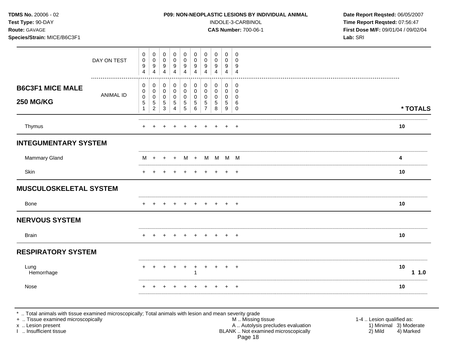|                                             |                  |                                                               |                                                               |                                                                  |                                                                |                                                        |                                                            |                                                                         |                                                  |                                                   | <b>CAS Number: 700-06-1</b>                                 | First Dose M/F: 09/01/04 / 09/02/04<br>Lab: SRI |
|---------------------------------------------|------------------|---------------------------------------------------------------|---------------------------------------------------------------|------------------------------------------------------------------|----------------------------------------------------------------|--------------------------------------------------------|------------------------------------------------------------|-------------------------------------------------------------------------|--------------------------------------------------|---------------------------------------------------|-------------------------------------------------------------|-------------------------------------------------|
|                                             | DAY ON TEST<br>. | 0<br>$\pmb{0}$<br>$\boldsymbol{9}$<br>$\overline{\mathbf{4}}$ | 0<br>$\mathbf 0$<br>$9\,$<br>$\overline{4}$                   | $\mathbf 0$<br>$\mathbf 0$<br>9<br>$\overline{4}$                | 0<br>$\mathbf 0$<br>9<br>4                                     | 0<br>0<br>9<br>4                                       | 0<br>$\mathbf 0$<br>$\boldsymbol{9}$<br>$\overline{4}$     | 0<br>$\mathbf 0$<br>$\boldsymbol{9}$<br>4                               | 0<br>0<br>9<br>$\overline{4}$                    | 0<br>0<br>9<br>4                                  | 0<br>0<br>9<br>$\overline{4}$                               |                                                 |
| <b>B6C3F1 MICE MALE</b><br><b>250 MG/KG</b> | <b>ANIMAL ID</b> | 0<br>$\mathbf 0$<br>0<br>$\sqrt{5}$<br>$\mathbf{1}$           | $\pmb{0}$<br>0<br>$\mathbf 0$<br>$\sqrt{5}$<br>$\overline{2}$ | $\mathbf 0$<br>$\mathbf 0$<br>$\mathbf 0$<br>$\overline{5}$<br>3 | $\pmb{0}$<br>$\mathbf 0$<br>$\mathbf 0$<br>5<br>$\overline{4}$ | $\mathbf 0$<br>$\mathbf 0$<br>0<br>5<br>$\overline{5}$ | $\pmb{0}$<br>$\mathbf 0$<br>$\mathbf 0$<br>$\sqrt{5}$<br>6 | $\pmb{0}$<br>$\mathbf 0$<br>$\mathbf 0$<br>$\sqrt{5}$<br>$\overline{7}$ | $\pmb{0}$<br>0<br>$\mathbf 0$<br>$\sqrt{5}$<br>8 | $\pmb{0}$<br>$\mathbf 0$<br>$\mathbf 0$<br>5<br>9 | $\pmb{0}$<br>$\mathbf 0$<br>$\mathbf 0$<br>6<br>$\mathbf 0$ | * TOTALS                                        |
| Thymus                                      |                  |                                                               |                                                               |                                                                  |                                                                |                                                        |                                                            |                                                                         |                                                  |                                                   | $\overline{+}$                                              | 10                                              |
| <b>INTEGUMENTARY SYSTEM</b>                 |                  |                                                               |                                                               |                                                                  |                                                                |                                                        |                                                            |                                                                         |                                                  |                                                   |                                                             |                                                 |
| <b>Mammary Gland</b>                        |                  | м                                                             | $\ddot{}$                                                     |                                                                  |                                                                |                                                        |                                                            |                                                                         | $M + M M M$                                      |                                                   |                                                             | 4                                               |
| Skin                                        |                  | $\pm$                                                         | $\pm$                                                         | $\div$                                                           |                                                                | $\pm$                                                  | $\pm$                                                      | $+$                                                                     | $^{+}$                                           | $\pm$                                             | $\pm$                                                       | 10                                              |
| <b>MUSCULOSKELETAL SYSTEM</b>               |                  |                                                               |                                                               |                                                                  |                                                                |                                                        |                                                            |                                                                         |                                                  |                                                   |                                                             |                                                 |
| <b>Bone</b>                                 |                  |                                                               |                                                               |                                                                  |                                                                |                                                        |                                                            |                                                                         |                                                  |                                                   |                                                             | 10                                              |
| <b>NERVOUS SYSTEM</b>                       |                  |                                                               |                                                               |                                                                  |                                                                |                                                        |                                                            |                                                                         |                                                  |                                                   |                                                             |                                                 |
| <b>Brain</b>                                |                  |                                                               |                                                               |                                                                  |                                                                |                                                        |                                                            |                                                                         |                                                  |                                                   | $\div$                                                      | 10                                              |
| <b>RESPIRATORY SYSTEM</b>                   |                  |                                                               |                                                               |                                                                  |                                                                |                                                        |                                                            |                                                                         |                                                  |                                                   |                                                             |                                                 |
| Lung<br>Hemorrhage                          |                  |                                                               |                                                               |                                                                  |                                                                |                                                        |                                                            |                                                                         |                                                  |                                                   |                                                             | 10<br>11.0                                      |
| Nose                                        |                  |                                                               |                                                               |                                                                  |                                                                |                                                        |                                                            |                                                                         |                                                  |                                                   |                                                             | 10                                              |

\* .. Total animals with tissue examined microscopically; Total animals with lesion and mean severity grade<br>
+ .. Tissue examined microscopically<br>
x .. Lesion present<br>
1 .. Insufficient tissue<br>
1 .. Insufficient tissue<br>
1 . Page 18

1-4 .. Lesion qualified as:<br>1) Minimal 3) Moderate<br>2) Mild 4) Marked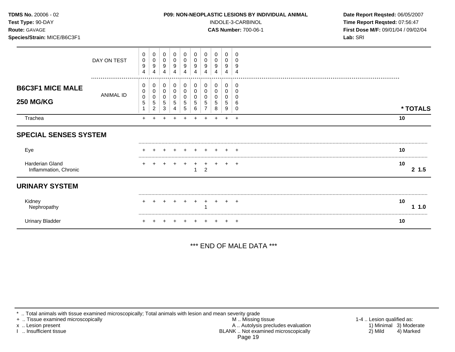| TDMS No. 20006 - 02<br>Test Type: 90-DAY<br>Route: GAVAGE<br>Species/Strain: MICE/B6C3F1 |                  |                              |                              |                       |                       |                       |                       |                                           |                              |                       |                                     | P09: NON-NEOPLASTIC LESIONS BY INDIVIDUAL ANIMAL<br>INDOLE-3-CARBINOL<br><b>CAS Number: 700-06-1</b> | Date Report Reqsted: 06/05/2007<br>Time Report Reqsted: 07:56:47<br>First Dose M/F: 09/01/04 / 09/02/04<br>Lab: SRI |
|------------------------------------------------------------------------------------------|------------------|------------------------------|------------------------------|-----------------------|-----------------------|-----------------------|-----------------------|-------------------------------------------|------------------------------|-----------------------|-------------------------------------|------------------------------------------------------------------------------------------------------|---------------------------------------------------------------------------------------------------------------------|
|                                                                                          | DAY ON TEST      | 0<br>0<br>9<br>4             | 0<br>0<br>9                  | 0<br>0<br>9<br>4      | 0<br>0<br>9<br>4      | 0<br>0<br>9<br>4      | 0<br>0<br>9<br>4      | 0<br>0<br>9<br>4                          | 0<br>0<br>9<br>4             | 0<br>9<br>4           | $\Omega$<br>$\Omega$<br>9           |                                                                                                      |                                                                                                                     |
| <b>B6C3F1 MICE MALE</b><br><b>250 MG/KG</b>                                              | <b>ANIMAL ID</b> | 0<br>0<br>$\Omega$<br>5<br>1 | 0<br>0<br>$\Omega$<br>5<br>2 | 0<br>0<br>0<br>5<br>3 | 0<br>0<br>0<br>5<br>4 | 0<br>0<br>0<br>5<br>5 | 0<br>0<br>0<br>5<br>6 | 0<br>0<br>$\Omega$<br>5<br>$\overline{7}$ | 0<br>0<br>$\Omega$<br>5<br>8 | 0<br>0<br>0<br>5<br>9 | 0<br>0<br>$\Omega$<br>6<br>$\Omega$ |                                                                                                      | * TOTALS                                                                                                            |
| Trachea                                                                                  |                  | $+$                          |                              |                       |                       |                       | $+$                   |                                           |                              | $+$                   | $+$                                 |                                                                                                      | 10                                                                                                                  |
| <b>SPECIAL SENSES SYSTEM</b>                                                             |                  |                              |                              |                       |                       |                       |                       |                                           |                              |                       |                                     |                                                                                                      |                                                                                                                     |
| Eye                                                                                      |                  |                              |                              |                       |                       |                       |                       |                                           |                              |                       |                                     |                                                                                                      | 10                                                                                                                  |
| Harderian Gland<br>Inflammation, Chronic                                                 |                  |                              |                              |                       |                       |                       |                       | $\overline{2}$                            | $+$                          |                       | $+$ $+$                             |                                                                                                      | 10<br>2, 1.5                                                                                                        |
| <b>URINARY SYSTEM</b>                                                                    |                  |                              |                              |                       |                       |                       |                       |                                           |                              |                       |                                     |                                                                                                      |                                                                                                                     |
| Kidney<br>Nephropathy                                                                    |                  |                              |                              |                       |                       | $+$                   | $+$                   | $\pm$                                     | $+$                          |                       | $+$ $+$                             |                                                                                                      | 10<br>1.0                                                                                                           |
| <b>Urinary Bladder</b>                                                                   |                  |                              |                              |                       |                       |                       |                       |                                           |                              |                       | $\overline{ }$                      |                                                                                                      | 10                                                                                                                  |

\*\*\* END OF MALE DATA \*\*\*

\* .. Total animals with tissue examined microscopically; Total animals with lesion and mean severity grade

+ .. Tissue examined microscopically M .. Missing tissue 1-4 .. Lesion qualified as: x .. Lesion present 1) Minimal 3) Moderate A .. Autor A .. Autor A .. Autor A .. Autor A .. Autor A .. Autor A .. Autor A .. Autor A .. Autor A .. Autor A .. Autor A .. Autor A .. Autor A .. Autor A .. Autor A .. Autor A . I .. Insufficient tissue BLANK .. Not examined microscopically 2) Mild 4) Marked Page 19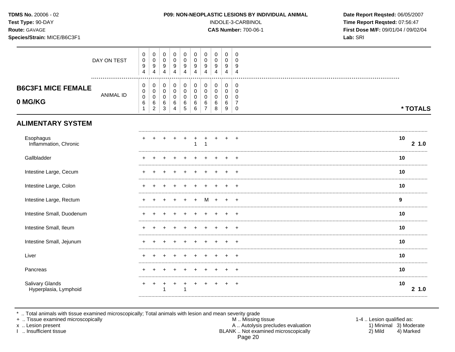| TDMS No. 20006 - 02<br>Test Type: 90-DAY<br>Route: GAVAGE<br>Species/Strain: MICE/B6C3F1 |             |                                                  |                                                                |                                      |                                                            |                                           |                                                     |                                                        |                                         |                                                     |                                                                               | P09: NON-NEOPLASTIC LESIONS BY INDIVIDUAL ANIMAL<br>INDOLE-3-CARBINOL<br><b>CAS Number: 700-06-1</b> | Date Report Reqsted: 06/05/2007<br>Time Report Reqsted: 07:56:47<br>First Dose M/F: 09/01/04 / 09/02/04<br>Lab: SRI |  |
|------------------------------------------------------------------------------------------|-------------|--------------------------------------------------|----------------------------------------------------------------|--------------------------------------|------------------------------------------------------------|-------------------------------------------|-----------------------------------------------------|--------------------------------------------------------|-----------------------------------------|-----------------------------------------------------|-------------------------------------------------------------------------------|------------------------------------------------------------------------------------------------------|---------------------------------------------------------------------------------------------------------------------|--|
|                                                                                          | DAY ON TEST | 0<br>$\mathsf 0$<br>9<br>$\overline{\mathbf{4}}$ | $\mathbf 0$<br>$\pmb{0}$<br>$\boldsymbol{9}$<br>$\overline{4}$ | $\mathbf 0$<br>$\mathbf 0$<br>9<br>4 | $\mathbf 0$<br>$\mathbf 0$<br>9<br>$\overline{\mathbf{4}}$ | 0<br>0<br>9<br>4                          | $\mathbf 0$<br>$\pmb{0}$<br>9<br>$\overline{4}$     | 0<br>$\pmb{0}$<br>$\boldsymbol{9}$<br>$\overline{4}$   | 0<br>0<br>9<br>$\overline{4}$           | $\mathbf 0$<br>$\mathbf 0$<br>9<br>$\overline{4}$   | $\overline{0}$<br>$\mathbf 0$<br>9<br>$\overline{4}$                          |                                                                                                      |                                                                                                                     |  |
| <b>B6C3F1 MICE FEMALE</b><br>0 MG/KG                                                     | ANIMAL ID   | 0<br>0<br>$\pmb{0}$<br>6<br>$\mathbf{1}$         | 0<br>0<br>$\mathbf 0$<br>$\,6\,$<br>$\overline{2}$             | 0<br>0<br>$\mathbf 0$<br>6<br>3      | $\mathbf 0$<br>$\mathbf 0$<br>$\Omega$<br>6<br>4           | 0<br>0<br>$\mathbf 0$<br>6<br>$\,$ 5 $\,$ | $\mathbf 0$<br>$\mathbf 0$<br>$\mathbf 0$<br>6<br>6 | 0<br>$\mathbf 0$<br>$\mathbf 0$<br>6<br>$\overline{7}$ | 0<br>$\pmb{0}$<br>$\mathbf 0$<br>6<br>8 | $\mathbf 0$<br>$\mathbf 0$<br>$\mathbf 0$<br>6<br>9 | $\overline{0}$<br>$\overline{0}$<br>$\Omega$<br>$\overline{7}$<br>$\mathbf 0$ |                                                                                                      | * TOTALS                                                                                                            |  |
| <b>ALIMENTARY SYSTEM</b>                                                                 |             |                                                  |                                                                |                                      |                                                            |                                           |                                                     |                                                        |                                         |                                                     |                                                                               |                                                                                                      |                                                                                                                     |  |
| Esophagus<br>Inflammation, Chronic                                                       |             |                                                  |                                                                |                                      |                                                            |                                           | 1                                                   | $\mathbf{1}$                                           | $\ddot{}$                               |                                                     |                                                                               |                                                                                                      | 10<br>21.0                                                                                                          |  |
| Gallbladder                                                                              |             |                                                  |                                                                |                                      |                                                            |                                           |                                                     |                                                        |                                         |                                                     |                                                                               |                                                                                                      | 10                                                                                                                  |  |
| Intestine Large, Cecum                                                                   |             |                                                  |                                                                |                                      |                                                            |                                           |                                                     |                                                        |                                         |                                                     |                                                                               |                                                                                                      | 10                                                                                                                  |  |
| Intestine Large, Colon                                                                   |             | +                                                |                                                                |                                      |                                                            |                                           |                                                     |                                                        |                                         |                                                     |                                                                               |                                                                                                      | 10                                                                                                                  |  |
| Intestine Large, Rectum                                                                  |             |                                                  |                                                                |                                      |                                                            |                                           |                                                     |                                                        |                                         |                                                     |                                                                               |                                                                                                      | 9                                                                                                                   |  |
| Intestine Small, Duodenum                                                                |             |                                                  |                                                                |                                      |                                                            |                                           |                                                     |                                                        |                                         |                                                     |                                                                               |                                                                                                      | 10                                                                                                                  |  |
| Intestine Small, Ileum                                                                   |             |                                                  |                                                                |                                      |                                                            |                                           |                                                     |                                                        |                                         |                                                     |                                                                               |                                                                                                      | 10                                                                                                                  |  |
| Intestine Small, Jejunum                                                                 |             |                                                  |                                                                |                                      |                                                            |                                           |                                                     |                                                        |                                         |                                                     |                                                                               |                                                                                                      | 10                                                                                                                  |  |
| Liver                                                                                    |             | ÷                                                |                                                                |                                      |                                                            |                                           |                                                     |                                                        |                                         |                                                     |                                                                               |                                                                                                      | 10                                                                                                                  |  |
| Pancreas                                                                                 |             |                                                  |                                                                |                                      |                                                            |                                           |                                                     |                                                        |                                         |                                                     |                                                                               |                                                                                                      | 10                                                                                                                  |  |
| Salivary Glands<br>Hyperplasia, Lymphoid                                                 |             | +                                                | $\ddot{}$                                                      | 1                                    | $\ddot{}$                                                  | ÷<br>1                                    | $\ddot{}$                                           | $\ddot{}$                                              |                                         |                                                     |                                                                               |                                                                                                      | 10<br>21.0                                                                                                          |  |

\* .. Total animals with tissue examined microscopically; Total animals with lesion and mean severity grade<br>+ .. Tissue examined microscopically

x .. Lesion present

I .. Insufficient tissue

A .. Autolysis precludes evaluation<br>BLANK .. Not examined microscopically Page 20

1-4 .. Lesion qualified as: 1) Minimal 3) Moderate  $2)$  Mild 4) Marked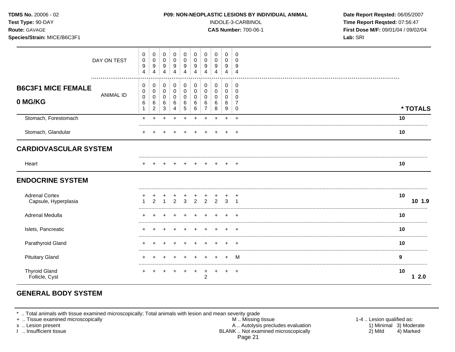**Test Type:** 90-DAY INDOLE-3-CARBINOL **Time Report Reqsted:** 07:56:47 **Route:** GAVAGE **CAS Number:** 700-06-1 **First Dose M/F:** 09/01/04 / 09/02/04 **Species/Strain:** MICE/B6C3F1 **Lab:** SRI

|                                               | DAY ON TEST      | 0<br>$\pmb{0}$<br>$\boldsymbol{9}$<br>$\overline{4}$ | 0<br>$\mathbf 0$<br>$\boldsymbol{9}$<br>$\overline{4}$ | 0<br>$\overline{0}$<br>9<br>$\overline{4}$    | 0<br>$\pmb{0}$<br>9<br>4                | 0<br>$\mathbf 0$<br>9<br>$\overline{4}$         | 0<br>$\mathbf 0$<br>9<br>4    | 0<br>0<br>9                | 0<br>0<br>9<br>$\Delta$                 | 0<br>$\mathbf 0$<br>9<br>4      | 0<br>$\Omega$<br>9<br>$\Delta$      |    |          |
|-----------------------------------------------|------------------|------------------------------------------------------|--------------------------------------------------------|-----------------------------------------------|-----------------------------------------|-------------------------------------------------|-------------------------------|----------------------------|-----------------------------------------|---------------------------------|-------------------------------------|----|----------|
| <b>B6C3F1 MICE FEMALE</b><br>0 MG/KG          | <b>ANIMAL ID</b> | 0<br>$\pmb{0}$<br>$\pmb{0}$<br>6<br>1                | 0<br>$\pmb{0}$<br>0<br>6<br>$\overline{2}$             | $\mathbf 0$<br>$\pmb{0}$<br>0<br>$\,6\,$<br>3 | 0<br>$\pmb{0}$<br>$\mathbf 0$<br>6<br>4 | $\pmb{0}$<br>$\pmb{0}$<br>$\mathbf 0$<br>6<br>5 | 0<br>$\pmb{0}$<br>0<br>6<br>6 | 0<br>$\mathbf 0$<br>0<br>6 | 0<br>$\pmb{0}$<br>$\mathbf 0$<br>6<br>8 | 0<br>0<br>$\mathbf 0$<br>6<br>9 | 0<br>$\Omega$<br>0<br>7<br>$\Omega$ |    | * TOTALS |
| Stomach, Forestomach                          |                  | $+$                                                  |                                                        |                                               |                                         |                                                 |                               |                            |                                         | ÷                               | $\div$                              | 10 |          |
| Stomach, Glandular                            |                  |                                                      |                                                        |                                               |                                         |                                                 |                               |                            |                                         |                                 | $\pm$                               | 10 |          |
| <b>CARDIOVASCULAR SYSTEM</b>                  |                  |                                                      |                                                        |                                               |                                         |                                                 |                               |                            |                                         |                                 |                                     |    |          |
| Heart                                         |                  |                                                      |                                                        |                                               |                                         |                                                 |                               |                            |                                         |                                 |                                     | 10 |          |
| <b>ENDOCRINE SYSTEM</b>                       |                  |                                                      |                                                        |                                               |                                         |                                                 |                               |                            |                                         |                                 |                                     |    |          |
| <b>Adrenal Cortex</b><br>Capsule, Hyperplasia |                  |                                                      | $\mathfrak{p}$                                         |                                               | $\mathfrak{p}$                          | $\overline{3}$                                  | $\mathfrak{p}$                | $\mathcal{P}$              | $\mathfrak{D}$                          | 3                               | $\div$                              | 10 | 10 1.9   |
| Adrenal Medulla                               |                  |                                                      |                                                        |                                               |                                         |                                                 |                               |                            |                                         |                                 |                                     | 10 |          |
| Islets, Pancreatic                            |                  |                                                      |                                                        |                                               |                                         |                                                 |                               |                            |                                         |                                 | $\pm$                               | 10 |          |
| Parathyroid Gland                             |                  |                                                      |                                                        |                                               |                                         |                                                 |                               |                            |                                         |                                 | $\pm$                               | 10 |          |
| <b>Pituitary Gland</b>                        |                  |                                                      |                                                        |                                               |                                         |                                                 |                               |                            |                                         |                                 | м                                   | 9  |          |
| <b>Thyroid Gland</b><br>Follicle, Cyst        |                  |                                                      |                                                        |                                               |                                         |                                                 |                               | $\mathfrak{p}$             |                                         |                                 | $\ddot{}$                           | 10 | 2.0      |

# **GENERAL BODY SYSTEM**

\* .. Total animals with tissue examined microscopically; Total animals with lesion and mean severity grade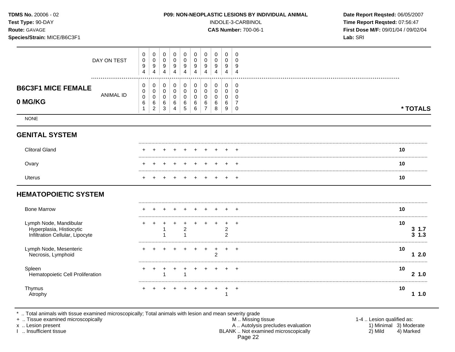| TDMS No. 20006 - 02<br>Test Type: 90-DAY<br>Route: GAVAGE<br>Species/Strain: MICE/B6C3F1 |                                                                                                    |                                                   |                                                                  |                                         |                                         |                                                   |                                         |                                               | P09: NON-NEOPLASTIC LESIONS BY INDIVIDUAL ANIMAL<br>INDOLE-3-CARBINOL<br><b>CAS Number: 700-06-1</b> | Date Report Reqsted: 06/05/2007<br>Time Report Reqsted: 07:56:47<br>First Dose M/F: 09/01/04 / 09/02/04<br>Lab: SRI |
|------------------------------------------------------------------------------------------|----------------------------------------------------------------------------------------------------|---------------------------------------------------|------------------------------------------------------------------|-----------------------------------------|-----------------------------------------|---------------------------------------------------|-----------------------------------------|-----------------------------------------------|------------------------------------------------------------------------------------------------------|---------------------------------------------------------------------------------------------------------------------|
| DAY ON TEST                                                                              | 0<br>$\mathbf 0$<br>$\mathbf 0$<br>$\pmb{0}$<br>9<br>9<br>$\overline{4}$<br>4                      | $\mathbf 0$<br>$\mathbf 0$<br>9<br>$\overline{4}$ | $\mathbf 0$<br>$\mathbf 0$<br>9<br>$\overline{4}$                | 0<br>$\mathbf 0$<br>9<br>$\overline{4}$ | 0<br>$\mathbf 0$<br>9<br>$\overline{4}$ | $\mathbf 0$<br>$\mathbf 0$<br>9<br>$\overline{4}$ | 0<br>$\mathbf 0$<br>9<br>$\overline{4}$ | 0<br>0<br>9<br>$\overline{4}$                 | $\Omega$<br>$\Omega$<br>9<br>$\overline{4}$                                                          |                                                                                                                     |
| <b>B6C3F1 MICE FEMALE</b><br><b>ANIMAL ID</b><br>0 MG/KG                                 | 0<br>0<br>$\mathbf 0$<br>0<br>$\mathbf 0$<br>$\pmb{0}$<br>6<br>6<br>$\overline{c}$<br>$\mathbf{1}$ | 0<br>$\mathbf 0$<br>0<br>$\,6$<br>$\sqrt{3}$      | $\mathbf 0$<br>$\mathbf 0$<br>$\mathbf 0$<br>6<br>$\overline{4}$ | 0<br>$\mathbf 0$<br>0<br>6<br>5         | 0<br>0<br>0<br>6<br>6                   | 0<br>$\mathbf 0$<br>0<br>6<br>$\overline{7}$      | 0<br>0<br>0<br>6<br>8                   | 0<br>0<br>0<br>6<br>9                         | 0<br>$\mathbf 0$<br>$\mathbf 0$<br>$\overline{7}$<br>$\mathbf 0$                                     | * TOTALS                                                                                                            |
| <b>NONE</b>                                                                              |                                                                                                    |                                                   |                                                                  |                                         |                                         |                                                   |                                         |                                               |                                                                                                      |                                                                                                                     |
| <b>GENITAL SYSTEM</b>                                                                    |                                                                                                    |                                                   |                                                                  |                                         |                                         |                                                   |                                         |                                               |                                                                                                      |                                                                                                                     |
| <b>Clitoral Gland</b>                                                                    |                                                                                                    |                                                   |                                                                  |                                         |                                         |                                                   |                                         |                                               |                                                                                                      | 10                                                                                                                  |
| Ovary                                                                                    |                                                                                                    |                                                   |                                                                  |                                         |                                         |                                                   |                                         |                                               |                                                                                                      | 10                                                                                                                  |
| Uterus                                                                                   |                                                                                                    |                                                   |                                                                  | $\div$                                  | $\div$                                  | $\div$                                            | $\ddot{}$                               | ÷                                             | $\overline{ }$                                                                                       | 10                                                                                                                  |
| <b>HEMATOPOIETIC SYSTEM</b>                                                              |                                                                                                    |                                                   |                                                                  |                                         |                                         |                                                   |                                         |                                               |                                                                                                      |                                                                                                                     |
| <b>Bone Marrow</b>                                                                       |                                                                                                    |                                                   |                                                                  |                                         |                                         |                                                   |                                         |                                               |                                                                                                      | 10                                                                                                                  |
| Lymph Node, Mandibular<br>Hyperplasia, Histiocytic<br>Infiltration Cellular, Lipocyte    |                                                                                                    |                                                   |                                                                  | $\overline{2}$<br>1                     | $\ddot{}$                               |                                                   | $\ddot{}$                               | $\ddot{}$<br>$\overline{c}$<br>$\overline{c}$ | $\ddot{}$                                                                                            | 10<br>$3 \t1.7$<br>$3 \; 1.3$                                                                                       |
| Lymph Node, Mesenteric<br>Necrosis, Lymphoid                                             |                                                                                                    |                                                   |                                                                  |                                         |                                         | $\ddot{}$                                         | $\ddot{}$<br>$\overline{2}$             | $+$                                           | $+$                                                                                                  | 10<br>12.0<br>                                                                                                      |
| Spleen<br>Hematopoietic Cell Proliferation                                               |                                                                                                    |                                                   |                                                                  | 1                                       | $\ddot{}$                               |                                                   |                                         |                                               | $+$                                                                                                  | 10<br>2 1.0                                                                                                         |
| Thymus<br>Atrophy                                                                        |                                                                                                    |                                                   |                                                                  |                                         |                                         |                                                   |                                         | 1                                             | $\overline{+}$                                                                                       | 10<br>11.0                                                                                                          |

\* .. Total animals with tissue examined microscopically; Total animals with lesion and mean severity grade

+ .. Tissue examined microscopically M .. Missing tissue 1-4 .. Lesion qualified as: x .. Lesion present 1) Minimal 3) Moderate A .. Autor A .. Autor A .. Autor A .. Autor A .. Autor A .. Autor A .. Autor A .. Autor A .. Autor A .. Autor A .. Autor A .. Autor A .. Autor A .. Autor A .. Autor A .. Autor A . I .. Insufficient tissue BLANK .. Not examined microscopically 2) Mild 4) Marked Page 22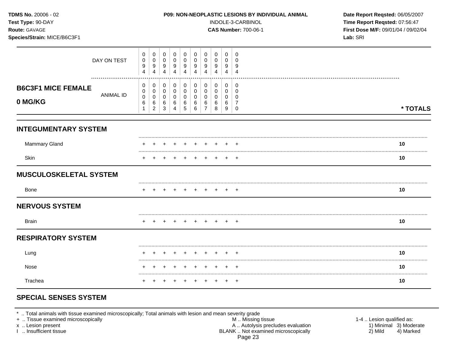| TDMS No. 20006 - 02<br>Test Type: 90-DAY<br>Route: GAVAGE<br>Species/Strain: MICE/B6C3F1 |                  |                                             |                                                  |                                             |                                                   |                                            |                                                | P09: NON-NEOPLASTIC LESIONS BY INDIVIDUAL ANIMAL<br>INDOLE-3-CARBINOL<br><b>CAS Number: 700-06-1</b> | Date Report Reqsted: 06/05/2007<br>Time Report Reqsted: 07:56:47<br>First Dose M/F: 09/01/04 / 09/02/04<br>Lab: SRI |                                         |                                                                  |          |
|------------------------------------------------------------------------------------------|------------------|---------------------------------------------|--------------------------------------------------|---------------------------------------------|---------------------------------------------------|--------------------------------------------|------------------------------------------------|------------------------------------------------------------------------------------------------------|---------------------------------------------------------------------------------------------------------------------|-----------------------------------------|------------------------------------------------------------------|----------|
|                                                                                          | DAY ON TEST      | $\mathbf 0$<br>0<br>$9\,$<br>$\overline{4}$ | $\mathbf 0$<br>0<br>9<br>$\overline{\mathbf{4}}$ | $\mathbf 0$<br>0<br>$9\,$<br>$\overline{4}$ | $\mathbf 0$<br>$\mathbf 0$<br>9<br>$\overline{4}$ | $\overline{0}$<br>0<br>9<br>$\overline{4}$ | 0<br>0<br>$\boldsymbol{9}$<br>$\overline{4}$   | $\mathbf 0$<br>$\Omega$<br>9<br>$\overline{4}$                                                       | $\mathbf 0$<br>$\Omega$<br>9<br>$\overline{4}$                                                                      | $\mathbf 0$<br>0<br>9<br>$\overline{4}$ | $\mathbf 0$<br>$\Omega$<br>9<br>$\overline{4}$                   |          |
| <b>B6C3F1 MICE FEMALE</b><br>0 MG/KG                                                     | <b>ANIMAL ID</b> | 0<br>0<br>$\mathbf 0$<br>6<br>$\mathbf{1}$  | 0<br>0<br>$\mathbf 0$<br>6<br>$\overline{c}$     | 0<br>$\mathbf 0$<br>0<br>6<br>3             | 0<br>$\mathbf 0$<br>0<br>6<br>4                   | 0<br>$\mathbf 0$<br>$\mathbf 0$<br>6<br>5  | 0<br>$\boldsymbol{0}$<br>$\mathbf 0$<br>6<br>6 | 0<br>$\mathbf 0$<br>$\mathbf 0$<br>6<br>$\overline{7}$                                               | $\pmb{0}$<br>0<br>$\mathbf 0$<br>6<br>8                                                                             | 0<br>0<br>$\mathbf{0}$<br>6<br>9        | 0<br>$\mathbf 0$<br>$\mathbf 0$<br>$\overline{7}$<br>$\mathbf 0$ | * TOTALS |
| <b>INTEGUMENTARY SYSTEM</b>                                                              |                  |                                             |                                                  |                                             |                                                   |                                            |                                                |                                                                                                      |                                                                                                                     |                                         |                                                                  |          |
| <b>Mammary Gland</b>                                                                     |                  |                                             |                                                  |                                             |                                                   |                                            |                                                |                                                                                                      |                                                                                                                     |                                         |                                                                  | 10       |
| Skin                                                                                     |                  |                                             |                                                  |                                             |                                                   |                                            | $\ddot{}$                                      |                                                                                                      | +                                                                                                                   | $+$                                     | $^{+}$                                                           | 10       |
| <b>MUSCULOSKELETAL SYSTEM</b>                                                            |                  |                                             |                                                  |                                             |                                                   |                                            |                                                |                                                                                                      |                                                                                                                     |                                         |                                                                  |          |
| <b>Bone</b>                                                                              |                  |                                             |                                                  |                                             |                                                   |                                            |                                                |                                                                                                      |                                                                                                                     |                                         |                                                                  | 10       |
| <b>NERVOUS SYSTEM</b>                                                                    |                  |                                             |                                                  |                                             |                                                   |                                            |                                                |                                                                                                      |                                                                                                                     |                                         |                                                                  |          |
| <b>Brain</b>                                                                             |                  |                                             |                                                  |                                             |                                                   |                                            |                                                |                                                                                                      |                                                                                                                     | $+$                                     | $^+$                                                             | 10       |
| <b>RESPIRATORY SYSTEM</b>                                                                |                  |                                             |                                                  |                                             |                                                   |                                            |                                                |                                                                                                      |                                                                                                                     |                                         |                                                                  |          |
| Lung                                                                                     |                  |                                             |                                                  |                                             |                                                   |                                            |                                                |                                                                                                      |                                                                                                                     |                                         |                                                                  | 10       |
| Nose                                                                                     |                  |                                             |                                                  |                                             |                                                   |                                            | $\pm$                                          | $\pm$                                                                                                |                                                                                                                     |                                         |                                                                  | 10       |
| Trachea                                                                                  |                  | $+$                                         | $+$                                              | $+$                                         | $+$                                               | $+$                                        | $^{+}$                                         | $+$                                                                                                  | $+$                                                                                                                 |                                         | $+$ $+$                                                          | 10       |

# **SPECIAL SENSES SYSTEM**

\* .. Total animals with tissue examined microscopically; Total animals with lesion and mean severity grade

+ .. Tissue examined microscopically M .. Missing tissue 1-4 .. Lesion qualified as: x .. Lesion present 1) Minimal 3) Moderate A .. Autor A .. Autor A .. Autor A .. Autor A .. Autor A .. Autor A .. Autor A .. Autor A .. Autor A .. Autor A .. Autor A .. Autor A .. Autor A .. Autor A .. Autor A .. Autor A . I .. Insufficient tissue BLANK .. Not examined microscopically 2) Mild 4) Marked Page 23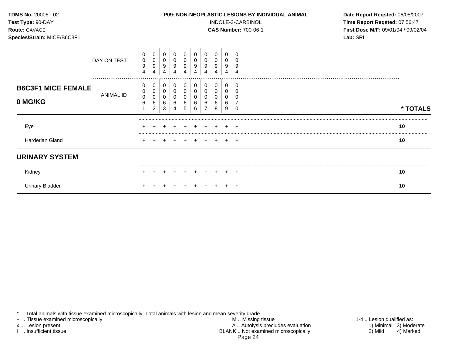| Test Type: 90-DAY<br>Route: GAVAGE<br>Species/Strain: MICE/B6C3F1 |               | INDOLE-3-CARBINOL<br><b>CAS Number: 700-06-1</b> |                       |                       |        |                       |                       |             |                  |             |             |  |  | Time Report Reqsted: 07:56:47<br>First Dose M/F: 09/01/04 / 09/02/04<br>Lab: SRI |
|-------------------------------------------------------------------|---------------|--------------------------------------------------|-----------------------|-----------------------|--------|-----------------------|-----------------------|-------------|------------------|-------------|-------------|--|--|----------------------------------------------------------------------------------|
|                                                                   | DAY ON TEST   | 0<br>0<br>9<br>4                                 | 0<br>0<br>9<br>4      | 0<br>9<br>4           | 9<br>4 | 0<br>0<br>9<br>4      | 0<br>0<br>9<br>4      | 0<br>9<br>4 | 0<br>9<br>4      | 9<br>4      | C<br>S<br>Δ |  |  |                                                                                  |
| <b>B6C3F1 MICE FEMALE</b><br>0 MG/KG                              | <br>ANIMAL ID | 0<br>0<br>0<br>6                                 | 0<br>0<br>0<br>6<br>ົ | 0<br>0<br>0<br>6<br>3 | 0<br>6 | 0<br>0<br>0<br>6<br>5 | 0<br>0<br>0<br>6<br>6 | 0<br>0<br>6 | 0<br>0<br>6<br>8 | 0<br>6<br>9 | C           |  |  | * TOTALS                                                                         |
| Eye                                                               |               |                                                  |                       |                       |        |                       |                       |             |                  |             |             |  |  | 10                                                                               |
| Harderian Gland                                                   |               |                                                  |                       |                       |        |                       |                       |             |                  | $+$         | $+$         |  |  | 10                                                                               |
| <b>URINARY SYSTEM</b>                                             |               |                                                  |                       |                       |        |                       |                       |             |                  |             |             |  |  |                                                                                  |
| Kidney                                                            |               |                                                  |                       |                       |        |                       |                       |             |                  |             |             |  |  | 10                                                                               |
| <b>Urinary Bladder</b>                                            |               |                                                  |                       |                       |        |                       |                       |             |                  |             | $\pm$       |  |  | 10                                                                               |

\* .. Total animals with tissue examined microscopically; Total animals with lesion and mean severity grade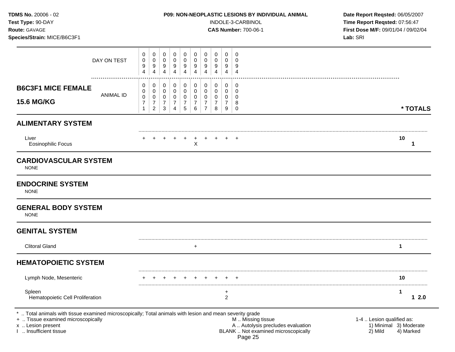**Test Type:** 90-DAY INDOLE-3-CARBINOL **Time Report Reqsted:** 07:56:47 **Route:** GAVAGE **CAS Number:** 700-06-1 **First Dose M/F:** 09/01/04 / 09/02/04 **Species/Strain:** MICE/B6C3F1 **Lab:** SRI

|                                                                                                                                                                                               | DAY ON TEST<br>. | 0<br>$\pmb{0}$<br>9<br>$\overline{4}$                                       | 0<br>$\pmb{0}$<br>9<br>$\overline{4}$                               | 0<br>$\pmb{0}$<br>$\boldsymbol{9}$<br>$\overline{4}$                                     | 0<br>$\pmb{0}$<br>9<br>$\overline{4}$                  | $\mathbf 0$<br>$\pmb{0}$<br>9<br>$\overline{4}$              | 0<br>$\pmb{0}$<br>$9\,$<br>$\overline{4}$                          | 0<br>$\pmb{0}$<br>9<br>$\overline{4}$                                       | 0<br>$\pmb{0}$<br>$\boldsymbol{9}$<br>$\overline{4}$       | 0<br>$\pmb{0}$<br>9<br>4                               | 0<br>$\mathbf 0$<br>9<br>$\overline{4}$                                                                  |                                                                             |
|-----------------------------------------------------------------------------------------------------------------------------------------------------------------------------------------------|------------------|-----------------------------------------------------------------------------|---------------------------------------------------------------------|------------------------------------------------------------------------------------------|--------------------------------------------------------|--------------------------------------------------------------|--------------------------------------------------------------------|-----------------------------------------------------------------------------|------------------------------------------------------------|--------------------------------------------------------|----------------------------------------------------------------------------------------------------------|-----------------------------------------------------------------------------|
| <b>B6C3F1 MICE FEMALE</b><br><b>15.6 MG/KG</b>                                                                                                                                                | <b>ANIMAL ID</b> | $\mathbf 0$<br>$\mathbf 0$<br>$\pmb{0}$<br>$\boldsymbol{7}$<br>$\mathbf{1}$ | 0<br>$\mathsf 0$<br>$\pmb{0}$<br>$\boldsymbol{7}$<br>$\overline{c}$ | $\mathbf 0$<br>$\pmb{0}$<br>$\mathbf 0$<br>$\boldsymbol{7}$<br>$\ensuremath{\mathsf{3}}$ | 0<br>$\mathbf 0$<br>$\mathbf 0$<br>$\overline{7}$<br>4 | $\pmb{0}$<br>$\pmb{0}$<br>$\pmb{0}$<br>$\boldsymbol{7}$<br>5 | $\mathbf 0$<br>$\pmb{0}$<br>$\pmb{0}$<br>$\boldsymbol{7}$<br>$\,6$ | $\pmb{0}$<br>$\pmb{0}$<br>$\mathbf 0$<br>$\boldsymbol{7}$<br>$\overline{7}$ | 0<br>$\mathbf 0$<br>$\pmb{0}$<br>$\overline{7}$<br>$\bf 8$ | 0<br>$\mathbf 0$<br>$\mathbf 0$<br>$\overline{7}$<br>9 | 0<br>$\mathbf 0$<br>$\mathbf 0$<br>$\,8\,$<br>0                                                          | * TOTALS                                                                    |
| <b>ALIMENTARY SYSTEM</b>                                                                                                                                                                      |                  |                                                                             |                                                                     |                                                                                          |                                                        |                                                              |                                                                    |                                                                             |                                                            |                                                        |                                                                                                          |                                                                             |
| Liver<br><b>Eosinophilic Focus</b>                                                                                                                                                            |                  |                                                                             |                                                                     |                                                                                          |                                                        |                                                              | X                                                                  |                                                                             |                                                            |                                                        |                                                                                                          | 10<br>1                                                                     |
| <b>CARDIOVASCULAR SYSTEM</b><br><b>NONE</b>                                                                                                                                                   |                  |                                                                             |                                                                     |                                                                                          |                                                        |                                                              |                                                                    |                                                                             |                                                            |                                                        |                                                                                                          |                                                                             |
| <b>ENDOCRINE SYSTEM</b><br><b>NONE</b>                                                                                                                                                        |                  |                                                                             |                                                                     |                                                                                          |                                                        |                                                              |                                                                    |                                                                             |                                                            |                                                        |                                                                                                          |                                                                             |
| <b>GENERAL BODY SYSTEM</b><br><b>NONE</b>                                                                                                                                                     |                  |                                                                             |                                                                     |                                                                                          |                                                        |                                                              |                                                                    |                                                                             |                                                            |                                                        |                                                                                                          |                                                                             |
| <b>GENITAL SYSTEM</b>                                                                                                                                                                         |                  |                                                                             |                                                                     |                                                                                          |                                                        |                                                              |                                                                    |                                                                             |                                                            |                                                        |                                                                                                          |                                                                             |
| <b>Clitoral Gland</b>                                                                                                                                                                         |                  |                                                                             |                                                                     |                                                                                          |                                                        |                                                              | $\ddot{}$                                                          |                                                                             |                                                            |                                                        |                                                                                                          | 1                                                                           |
| <b>HEMATOPOIETIC SYSTEM</b>                                                                                                                                                                   |                  |                                                                             |                                                                     |                                                                                          |                                                        |                                                              |                                                                    |                                                                             |                                                            |                                                        |                                                                                                          |                                                                             |
| Lymph Node, Mesenteric                                                                                                                                                                        |                  |                                                                             |                                                                     |                                                                                          |                                                        |                                                              |                                                                    |                                                                             |                                                            |                                                        |                                                                                                          | 10                                                                          |
| Spleen<br>Hematopoietic Cell Proliferation                                                                                                                                                    |                  |                                                                             |                                                                     |                                                                                          |                                                        |                                                              |                                                                    |                                                                             |                                                            | +<br>$\overline{c}$                                    |                                                                                                          | $\mathbf 1$<br>12.0                                                         |
| *  Total animals with tissue examined microscopically; Total animals with lesion and mean severity grade<br>+  Tissue examined microscopically<br>x  Lesion present<br>I  Insufficient tissue |                  |                                                                             |                                                                     |                                                                                          |                                                        |                                                              |                                                                    |                                                                             |                                                            |                                                        | M  Missing tissue<br>A  Autolysis precludes evaluation<br>BLANK  Not examined microscopically<br>Page 25 | 1-4  Lesion qualified as:<br>1) Minimal 3) Moderate<br>2) Mild<br>4) Marked |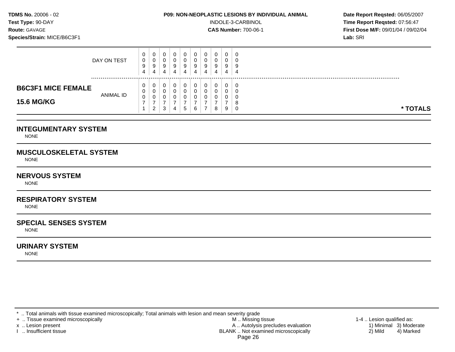**Test Type:**  $90-DAY$  **INDOLE-3-CARBINOL Time Report Reqsted: 07:56:47 Route:** GAVAGE **CAS Number:** 700-06-1 **First Dose M/F:** 09/01/04 / 09/02/04 **Species/Strain:** MICE/B6C3F1 **Lab:** SRI

|                           | DAY ON TEST      | 0<br>0<br>9<br>4  | 0<br>U<br>9<br>4   | -Q. | U<br>-9<br>4 | 9<br>4 | 0<br>J<br>9<br>4 | U<br>ν<br>9<br>4 | 0<br>v<br>9 | U<br>υ<br>9<br>4 | - 0<br>Į<br>4 |  |
|---------------------------|------------------|-------------------|--------------------|-----|--------------|--------|------------------|------------------|-------------|------------------|---------------|--|
| <b>B6C3F1 MICE FEMALE</b> |                  | $\mathbf{0}$<br>0 | 0<br>0             |     | 0            |        |                  | υ<br>u           | 0           | 0                | - 0           |  |
| <b>15.6 MG/KG</b>         | <b>ANIMAL ID</b> | 0                 | 0<br>ົ<br><u>_</u> | ۍ   | 4            | G      | v<br>6           | ν                | υ<br>8      | υ<br>9           | * TOTALS<br>C |  |

## **INTEGUMENTARY SYSTEM**

NONE

## **MUSCULOSKELETAL SYSTEM**

NONE

## **NERVOUS SYSTEM**

NONE

# **RESPIRATORY SYSTEM**

**NONE** 

## **SPECIAL SENSES SYSTEM**

NONE

## **URINARY SYSTEM**

NONE

\* .. Total animals with tissue examined microscopically; Total animals with lesion and mean severity grade<br>+ .. Tissue examined microscopically

+ .. Tissue examined microscopically the state of the state of the M .. Missing tissue 1-4 .. Lesion qualified as:

x .. Lesion present 1) Minimal 3) Moderate<br>A .. Autolysis precludes evaluation 1 and 1) Minimal 3) Moderate<br>BLANK .. Not examined microscopically 2) Mild 4) Marked BLANK .. Not examined microscopically Page 26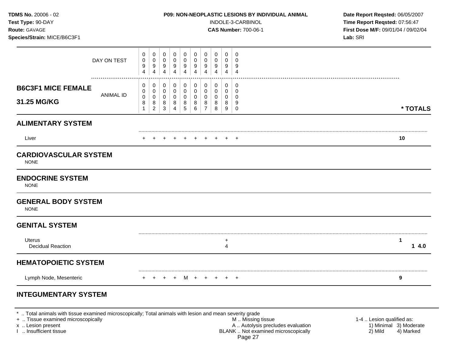| TDMS No. 20006 - 02<br>Test Type: 90-DAY<br>Route: GAVAGE<br>Species/Strain: MICE/B6C3F1 |                 |                               |                                    |                                  | P09: NON-NEOPLASTIC LESIONS BY INDIVIDUAL ANIMAL |                                         |                                           | INDOLE-3-CARBINOL<br><b>CAS Number: 700-06-1</b>       | Date Report Reqsted: 06/05/2007<br>Time Report Reqsted: 07:56:47<br>First Dose M/F: 09/01/04 / 09/02/04<br>Lab: SRI |                       |                                                   |                      |
|------------------------------------------------------------------------------------------|-----------------|-------------------------------|------------------------------------|----------------------------------|--------------------------------------------------|-----------------------------------------|-------------------------------------------|--------------------------------------------------------|---------------------------------------------------------------------------------------------------------------------|-----------------------|---------------------------------------------------|----------------------|
|                                                                                          | DAY ON TEST<br> | 0<br>$\,0\,$<br>9<br>4        | 0<br>0<br>9<br>$\overline{4}$      | 0<br>0<br>9<br>$\overline{4}$    | $\mathbf 0$<br>0<br>9<br>$\overline{4}$          | $\mathbf 0$<br>0<br>9<br>$\overline{4}$ | 0<br>0<br>$9\,$<br>$\overline{4}$         | 0<br>$\mathbf 0$<br>9<br>$\overline{4}$                | 0<br>0<br>9<br>4                                                                                                    | 0<br>0<br>9<br>4      | $\mathbf 0$<br>$\mathbf 0$<br>9<br>$\overline{4}$ |                      |
| <b>B6C3F1 MICE FEMALE</b><br>31.25 MG/KG                                                 | ANIMAL ID       | 0<br>0<br>$\pmb{0}$<br>8<br>1 | 0<br>0<br>0<br>8<br>$\overline{c}$ | 0<br>0<br>0<br>8<br>$\mathbf{3}$ | 0<br>$\mathbf 0$<br>$\mathbf 0$<br>8<br>4        | 0<br>$\mathbf 0$<br>0<br>8<br>5         | 0<br>$\mathbf 0$<br>$\mathbf 0$<br>8<br>6 | 0<br>$\mathbf 0$<br>$\mathbf 0$<br>8<br>$\overline{7}$ | 0<br>0<br>0<br>8<br>8                                                                                               | 0<br>0<br>0<br>8<br>9 | $\mathbf 0$<br>0<br>0<br>9<br>$\mathbf 0$         | * TOTALS             |
| <b>ALIMENTARY SYSTEM</b>                                                                 |                 |                               |                                    |                                  |                                                  |                                         |                                           |                                                        |                                                                                                                     |                       |                                                   |                      |
| Liver                                                                                    |                 |                               |                                    |                                  |                                                  | $+$                                     |                                           | $+$                                                    | $+$                                                                                                                 |                       |                                                   | 10                   |
| <b>CARDIOVASCULAR SYSTEM</b><br><b>NONE</b>                                              |                 |                               |                                    |                                  |                                                  |                                         |                                           |                                                        |                                                                                                                     |                       |                                                   |                      |
| <b>ENDOCRINE SYSTEM</b><br><b>NONE</b>                                                   |                 |                               |                                    |                                  |                                                  |                                         |                                           |                                                        |                                                                                                                     |                       |                                                   |                      |
| <b>GENERAL BODY SYSTEM</b><br><b>NONE</b>                                                |                 |                               |                                    |                                  |                                                  |                                         |                                           |                                                        |                                                                                                                     |                       |                                                   |                      |
| <b>GENITAL SYSTEM</b>                                                                    |                 |                               |                                    |                                  |                                                  |                                         |                                           |                                                        |                                                                                                                     |                       |                                                   |                      |
| <b>Uterus</b><br><b>Decidual Reaction</b>                                                |                 |                               |                                    |                                  |                                                  |                                         |                                           |                                                        |                                                                                                                     | +<br>4                |                                                   | $\mathbf{1}$<br>14.0 |
| <b>HEMATOPOIETIC SYSTEM</b>                                                              |                 |                               |                                    |                                  |                                                  |                                         |                                           |                                                        |                                                                                                                     |                       |                                                   |                      |
| Lymph Node, Mesenteric                                                                   |                 | $+$                           | $+$                                |                                  |                                                  |                                         |                                           |                                                        |                                                                                                                     |                       |                                                   | 9                    |
| <b>INTEGUMENTARY SYSTEM</b>                                                              |                 |                               |                                    |                                  |                                                  |                                         |                                           |                                                        |                                                                                                                     |                       |                                                   |                      |

\* .. Total animals with tissue examined microscopically; Total animals with lesion and mean severity grade

+ .. Tissue examined microscopically M .. Missing tissue 1-4 .. Lesion qualified as: x .. Lesion present 1) Minimal 3) Moderate A .. Autor A .. Autor A .. Autor A .. Autor A .. Autor A .. Autor A .. Autor A .. Autor A .. Autor A .. Autor A .. Autor A .. Autor A .. Autor A .. Autor A .. Autor A .. Autor A . I .. Insufficient tissue BLANK .. Not examined microscopically 2) Mild 4) Marked Page 27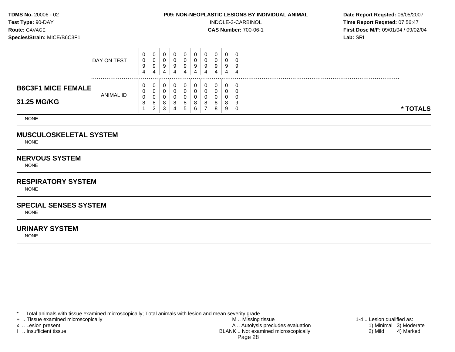**Test Type:**  $90-DAY$  **INDOLE-3-CARBINOL Time Report Reqsted: 07:56:47 Route:** GAVAGE **CAS Number:** 700-06-1 **First Dose M/F:** 09/01/04 / 09/02/04 **Species/Strain:** MICE/B6C3F1 **Lab:** SRI

|                           | DAY ON TEST | 0<br>0<br>9<br>4 | U<br>U<br>9<br>4        | u<br>4 | 4 | 4 | 9<br>4 | a<br>◡ | 0<br>0<br>9 | 0<br>0<br>9<br>4 |  |  |  |          |  |
|---------------------------|-------------|------------------|-------------------------|--------|---|---|--------|--------|-------------|------------------|--|--|--|----------|--|
| <b>B6C3F1 MICE FEMALE</b> |             | 0<br>0           | U<br>v                  | u      |   |   |        |        | 0<br>0      | 0<br>0           |  |  |  |          |  |
| 31.25 MG/KG               | ANIMAL ID   | 0<br>8           | v<br>8<br>◠<br><u>_</u> | 3      | 4 | b | 8<br>6 | 8      | 0<br>8<br>8 | 0<br>8<br>9      |  |  |  | * TOTALS |  |

NONE

# **MUSCULOSKELETAL SYSTEM**

NONE

# **NERVOUS SYSTEM**

NONE

### **RESPIRATORY SYSTEM**

NONE

## **SPECIAL SENSES SYSTEM**

NONE

## **URINARY SYSTEM**

NONE

\* .. Total animals with tissue examined microscopically; Total animals with lesion and mean severity grade<br>+ .. Tissue examined microscopically

+ .. Tissue examined microscopically the state of the state of the M .. Missing tissue 1-4 .. Lesion qualified as: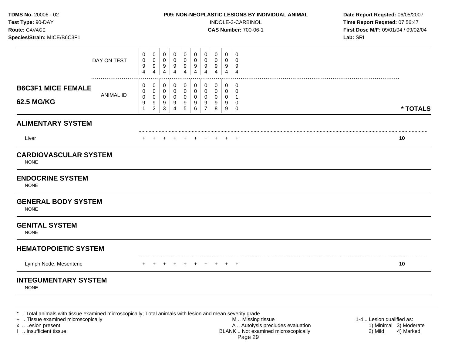| TDMS No. 20006 - 02<br>Test Type: 90-DAY<br>Route: GAVAGE<br>Species/Strain: MICE/B6C3F1 |                                                                     |                                               |                                                                                                               |                                                                  |                                                        |                                         |                                         | P09: NON-NEOPLASTIC LESIONS BY INDIVIDUAL ANIMAL<br>INDOLE-3-CARBINOL<br><b>CAS Number: 700-06-1</b> | Date Report Reqsted: 06/05/2007<br>Time Report Reqsted: 07:56:47<br>First Dose M/F: 09/01/04 / 09/02/04<br>Lab: SRI |  |
|------------------------------------------------------------------------------------------|---------------------------------------------------------------------|-----------------------------------------------|---------------------------------------------------------------------------------------------------------------|------------------------------------------------------------------|--------------------------------------------------------|-----------------------------------------|-----------------------------------------|------------------------------------------------------------------------------------------------------|---------------------------------------------------------------------------------------------------------------------|--|
| DAY ON TEST                                                                              | 0<br>0<br>$\pmb{0}$<br>0<br>9<br>9<br>$\overline{\mathbf{4}}$<br>4  | 0<br>0<br>9<br>$\overline{\mathbf{4}}$        | $\mathbf 0$<br>$\mathbf 0$<br>$\pmb{0}$<br>$\mathbf 0$<br>9<br>9<br>$\overline{\mathbf{4}}$<br>$\overline{4}$ | $\mathbf 0$<br>$\mathbf 0$<br>$\boldsymbol{9}$<br>$\overline{4}$ | $\mathbf 0$<br>$\mathbf 0$<br>9<br>$\overline{4}$      | 0<br>$\mathbf 0$<br>9<br>$\overline{4}$ | $\mathbf 0$<br>0<br>9<br>$\overline{4}$ | $\mathbf 0$<br>$\mathbf 0$<br>9<br>$\overline{4}$                                                    |                                                                                                                     |  |
| <b>B6C3F1 MICE FEMALE</b><br><b>ANIMAL ID</b><br><b>62.5 MG/KG</b>                       | 0<br>0<br>0<br>0<br>$\pmb{0}$<br>0<br>9<br>9<br>$\overline{c}$<br>1 | 0<br>0<br>0<br>9<br>$\ensuremath{\mathsf{3}}$ | $\pmb{0}$<br>0<br>$\mathbf 0$<br>$\mathbf 0$<br>$\mathbf 0$<br>$\mathbf 0$<br>9<br>9<br>5<br>$\overline{4}$   | 0<br>$\mathsf{O}$<br>$\mathbf 0$<br>9<br>6                       | 0<br>$\mathbf 0$<br>$\mathbf 0$<br>9<br>$\overline{7}$ | 0<br>0<br>0<br>9<br>8                   | $\pmb{0}$<br>$\mathbf 0$<br>0<br>9<br>9 | 0<br>$\mathbf 0$<br>$\mathbf{1}$<br>0<br>0                                                           | * TOTALS                                                                                                            |  |
| <b>ALIMENTARY SYSTEM</b>                                                                 |                                                                     |                                               |                                                                                                               |                                                                  |                                                        |                                         |                                         |                                                                                                      |                                                                                                                     |  |
| Liver                                                                                    |                                                                     |                                               | $\div$                                                                                                        | $\div$                                                           |                                                        | $\div$                                  |                                         | $\overline{ }$                                                                                       | 10                                                                                                                  |  |
| <b>CARDIOVASCULAR SYSTEM</b><br><b>NONE</b>                                              |                                                                     |                                               |                                                                                                               |                                                                  |                                                        |                                         |                                         |                                                                                                      |                                                                                                                     |  |
| <b>ENDOCRINE SYSTEM</b><br><b>NONE</b>                                                   |                                                                     |                                               |                                                                                                               |                                                                  |                                                        |                                         |                                         |                                                                                                      |                                                                                                                     |  |
| <b>GENERAL BODY SYSTEM</b><br><b>NONE</b>                                                |                                                                     |                                               |                                                                                                               |                                                                  |                                                        |                                         |                                         |                                                                                                      |                                                                                                                     |  |
| <b>GENITAL SYSTEM</b><br><b>NONE</b>                                                     |                                                                     |                                               |                                                                                                               |                                                                  |                                                        |                                         |                                         |                                                                                                      |                                                                                                                     |  |
| <b>HEMATOPOIETIC SYSTEM</b>                                                              |                                                                     |                                               |                                                                                                               |                                                                  |                                                        |                                         |                                         |                                                                                                      |                                                                                                                     |  |
| Lymph Node, Mesenteric                                                                   |                                                                     |                                               | $+$<br>$\ddot{}$                                                                                              | $+$                                                              | $+$                                                    | $+$                                     |                                         | $\overline{1}$                                                                                       | 10                                                                                                                  |  |
| <b>INTEGUMENTARY SYSTEM</b><br><b>NONE</b>                                               |                                                                     |                                               |                                                                                                               |                                                                  |                                                        |                                         |                                         |                                                                                                      |                                                                                                                     |  |
|                                                                                          |                                                                     |                                               |                                                                                                               |                                                                  |                                                        |                                         |                                         |                                                                                                      |                                                                                                                     |  |

\* .. Total animals with tissue examined microscopically; Total animals with lesion and mean severity grade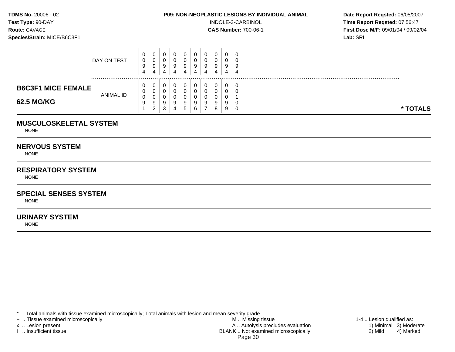**Test Type:**  $90-DAY$  **INDOLE-3-CARBINOL Time Report Reqsted: 07:56:47 Route:** GAVAGE **CAS Number:** 700-06-1 **First Dose M/F:** 09/01/04 / 09/02/04 **Species/Strain:** MICE/B6C3F1 **Lab:** SRI

|                           | DAY ON TEST | 0<br>0<br>9<br>4 | 0<br>υ<br>9<br>4        | 9      | 9<br>4 |   | 0<br>9<br>4 | 0<br>9 | 0<br>0<br>9 | $\overline{0}$<br>0<br>9<br>4 | - 6<br>$\overline{a}$ |  |
|---------------------------|-------------|------------------|-------------------------|--------|--------|---|-------------|--------|-------------|-------------------------------|-----------------------|--|
| <b>B6C3F1 MICE FEMALE</b> |             | 0<br>0           | U<br>v                  |        |        |   |             |        | 0<br>0      | 0<br>0                        | - 0                   |  |
| 62.5 MG/KG                | ANIMAL ID   | 0<br>9           | υ<br>9<br>◠<br><u>.</u> | 9<br>3 | 4      | : | 9<br>6      |        | 0<br>9<br>8 | U<br>9<br>9                   | * TOTALS              |  |

## **MUSCULOSKELETAL SYSTEM**

NONE

## **NERVOUS SYSTEM**

NONE

# **RESPIRATORY SYSTEM**

NONE

# **SPECIAL SENSES SYSTEM**

NONE

# **URINARY SYSTEM**

NONE

\* .. Total animals with tissue examined microscopically; Total animals with lesion and mean severity grade<br>+ .. Tissue examined microscopically

+ .. Tissue examined microscopically the state of the state of the M .. Missing tissue 1-4 .. Lesion qualified as:

x .. Lesion present 1) Minimal 3) Moderate<br>A .. Autolysis precludes evaluation 1 and 1) Minimal 3) Moderate<br>BLANK .. Not examined microscopically 2) Mild 4) Marked BLANK .. Not examined microscopically Page 30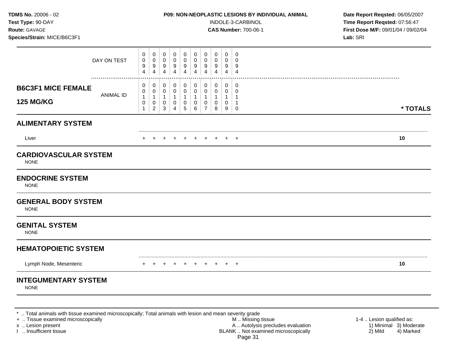| TDMS No. 20006 - 02<br>Test Type: 90-DAY<br>Route: GAVAGE<br>Species/Strain: MICE/B6C3F1 | P09: NON-NEOPLASTIC LESIONS BY INDIVIDUAL ANIMAL<br>INDOLE-3-CARBINOL<br><b>CAS Number: 700-06-1</b>                                                                                                                                                                                                                                                                                                                                                                                                                                                         | Date Report Reqsted: 06/05/2007<br>Time Report Reqsted: 07:56:47<br>First Dose M/F: 09/01/04 / 09/02/04<br>Lab: SRI |  |
|------------------------------------------------------------------------------------------|--------------------------------------------------------------------------------------------------------------------------------------------------------------------------------------------------------------------------------------------------------------------------------------------------------------------------------------------------------------------------------------------------------------------------------------------------------------------------------------------------------------------------------------------------------------|---------------------------------------------------------------------------------------------------------------------|--|
| DAY ON TEST                                                                              | 0<br>0<br>$\mathbf 0$<br>$\mathbf 0$<br>$\mathbf 0$<br>$\mathbf 0$<br>$\mathbf 0$<br>0<br>0<br>0<br>$\pmb{0}$<br>$\mathbf 0$<br>$\,0\,$<br>0<br>0<br>$\mathbf 0$<br>$\mathbf 0$<br>0<br>0<br>$\mathbf 0$<br>$\boldsymbol{9}$<br>$\boldsymbol{9}$<br>$9\,$<br>9<br>9<br>9<br>9<br>9<br>9<br>9<br>$\overline{4}$<br>$\overline{4}$<br>$\overline{4}$<br>$\overline{4}$<br>$\overline{4}$<br>$\overline{4}$<br>$\overline{4}$<br>$\overline{4}$<br>4<br>$\overline{4}$                                                                                          |                                                                                                                     |  |
| <b>B6C3F1 MICE FEMALE</b><br>ANIMAL ID<br><b>125 MG/KG</b>                               | 0<br>0<br>0<br>0<br>0<br>0<br>0<br>0<br>$\mathbf 0$<br>0<br>$\mathbf 0$<br>0<br>$\mathbf 0$<br>0<br>0<br>0<br>0<br>0<br>$\mathbf 0$<br>0<br>$\mathbf{1}$<br>$\mathbf{1}$<br>$\mathbf{1}$<br>$\mathbf{1}$<br>$\mathbf{1}$<br>$\mathbf{1}$<br>$\mathbf{1}$<br>$\mathbf{1}$<br>$\mathbf{1}$<br>-1<br>$\,0\,$<br>0<br>$\mathbf 0$<br>$\pmb{0}$<br>$\mathbf 0$<br>$\pmb{0}$<br>$\mathbf 0$<br>$\pmb{0}$<br>$\mathbf 0$<br>$\mathbf{1}$<br>$\overline{7}$<br>$\overline{c}$<br>$\mathbf{3}$<br>$\overline{4}$<br>$\,$ 5 $\,$<br>6<br>8<br>9<br>$\overline{0}$<br>1 | * TOTALS                                                                                                            |  |
| <b>ALIMENTARY SYSTEM</b>                                                                 |                                                                                                                                                                                                                                                                                                                                                                                                                                                                                                                                                              |                                                                                                                     |  |
| Liver                                                                                    |                                                                                                                                                                                                                                                                                                                                                                                                                                                                                                                                                              | 10                                                                                                                  |  |
| <b>CARDIOVASCULAR SYSTEM</b><br><b>NONE</b>                                              |                                                                                                                                                                                                                                                                                                                                                                                                                                                                                                                                                              |                                                                                                                     |  |
| <b>ENDOCRINE SYSTEM</b><br><b>NONE</b>                                                   |                                                                                                                                                                                                                                                                                                                                                                                                                                                                                                                                                              |                                                                                                                     |  |
| <b>GENERAL BODY SYSTEM</b><br><b>NONE</b>                                                |                                                                                                                                                                                                                                                                                                                                                                                                                                                                                                                                                              |                                                                                                                     |  |
| <b>GENITAL SYSTEM</b><br><b>NONE</b>                                                     |                                                                                                                                                                                                                                                                                                                                                                                                                                                                                                                                                              |                                                                                                                     |  |
| <b>HEMATOPOIETIC SYSTEM</b>                                                              |                                                                                                                                                                                                                                                                                                                                                                                                                                                                                                                                                              |                                                                                                                     |  |
| Lymph Node, Mesenteric                                                                   | + + + + + +<br>$+$<br>$+$<br>$+$ $+$                                                                                                                                                                                                                                                                                                                                                                                                                                                                                                                         | 10                                                                                                                  |  |
| <b>INTEGUMENTARY SYSTEM</b><br><b>NONE</b>                                               |                                                                                                                                                                                                                                                                                                                                                                                                                                                                                                                                                              |                                                                                                                     |  |
|                                                                                          |                                                                                                                                                                                                                                                                                                                                                                                                                                                                                                                                                              |                                                                                                                     |  |

\* .. Total animals with tissue examined microscopically; Total animals with lesion and mean severity grade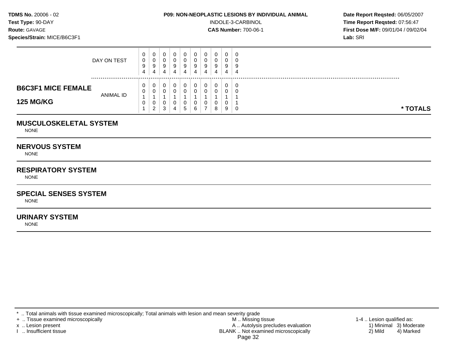**Test Type:**  $90-DAY$  **INDOLE-3-CARBINOL Time Report Reqsted: 07:56:47 Route:** GAVAGE **CAS Number:** 700-06-1 **First Dose M/F:** 09/01/04 / 09/02/04 **Species/Strain:** MICE/B6C3F1 **Lab:** SRI

|                                               | DAY ON TEST      | 0<br>0<br>9<br>4 | U<br>v<br>9<br>4           | u<br>9<br>4 | У<br>4 |   | υ<br>9<br>4 | υ<br>a<br>÷ | 0<br>0<br>9      | 0<br>0<br>9<br>4 | ູ                      |  |
|-----------------------------------------------|------------------|------------------|----------------------------|-------------|--------|---|-------------|-------------|------------------|------------------|------------------------|--|
| <b>B6C3F1 MICE FEMALE</b><br><b>125 MG/KG</b> | <b>ANIMAL ID</b> | 0<br>0<br>0      | U<br>v<br>υ<br>$\sim$<br>_ | u<br>າ<br>J | 4      | G | 6           |             | 0<br>0<br>0<br>8 | 0<br>0<br>0<br>9 | - 0<br>* TOTALS<br>- 6 |  |

## **MUSCULOSKELETAL SYSTEM**

NONE

## **NERVOUS SYSTEM**

NONE

# **RESPIRATORY SYSTEM**

NONE

# **SPECIAL SENSES SYSTEM**

NONE

# **URINARY SYSTEM**

NONE

\* .. Total animals with tissue examined microscopically; Total animals with lesion and mean severity grade<br>+ .. Tissue examined microscopically

+ .. Tissue examined microscopically the state of the state of the M .. Missing tissue 1-4 .. Lesion qualified as:

x .. Lesion present 1) Minimal 3) Moderate<br>A .. Autolysis precludes evaluation 1 and 1) Minimal 3) Moderate<br>BLANK .. Not examined microscopically 2) Mild 4) Marked BLANK .. Not examined microscopically Page 32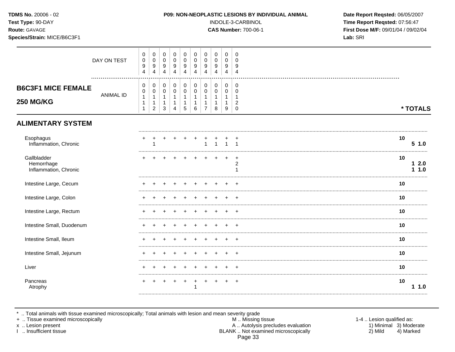| TDMS No. 20006 - 02<br>Test Type: 90-DAY<br>Route: GAVAGE<br>Species/Strain: MICE/B6C3F1 |                  |                                                                  |                                                        |                                                                |                                                         |                                                    |                                                                          |                                            |                                             |                                                                      |                                                                   | P09: NON-NEOPLASTIC LESIONS BY INDIVIDUAL ANIMAL<br>INDOLE-3-CARBINOL<br><b>CAS Number: 700-06-1</b> | Date Report Reqsted: 06/05/2007<br>Time Report Reqsted: 07:56:47<br>First Dose M/F: 09/01/04 / 09/02/04<br>Lab: SRI |
|------------------------------------------------------------------------------------------|------------------|------------------------------------------------------------------|--------------------------------------------------------|----------------------------------------------------------------|---------------------------------------------------------|----------------------------------------------------|--------------------------------------------------------------------------|--------------------------------------------|---------------------------------------------|----------------------------------------------------------------------|-------------------------------------------------------------------|------------------------------------------------------------------------------------------------------|---------------------------------------------------------------------------------------------------------------------|
|                                                                                          | DAY ON TEST      | 0<br>$\pmb{0}$<br>$\boldsymbol{9}$<br>$\overline{4}$             | 0<br>$\mathsf 0$<br>$\boldsymbol{9}$<br>$\overline{4}$ | $\mathbf 0$<br>$\pmb{0}$<br>$\boldsymbol{9}$<br>$\overline{4}$ | $\mathbf 0$<br>$\pmb{0}$<br>9<br>4                      | 0<br>0<br>$\boldsymbol{9}$<br>$\overline{4}$       | $\mathbf 0$<br>$\mathsf{O}\xspace$<br>$\boldsymbol{9}$<br>$\overline{4}$ | 0<br>$\pmb{0}$<br>$\boldsymbol{9}$<br>4    | 0<br>0<br>9<br>$\overline{4}$               | $\mathbf 0$<br>$\mathbf 0$<br>9<br>4                                 | $\mathbf 0$<br>$\mathbf 0$<br>9<br>$\overline{4}$                 |                                                                                                      |                                                                                                                     |
| <b>B6C3F1 MICE FEMALE</b><br><b>250 MG/KG</b>                                            | <b>ANIMAL ID</b> | 0<br>$\mathbf 0$<br>$\mathbf{1}$<br>$\mathbf{1}$<br>$\mathbf{1}$ | 0<br>$\mathbf 0$<br>1<br>1<br>$\overline{2}$           | 0<br>$\mathbf 0$<br>$\mathbf{1}$<br>$\mathbf{1}$<br>$\sqrt{3}$ | 0<br>$\mathbf 0$<br>1<br>$\mathbf{1}$<br>$\overline{4}$ | 0<br>$\pmb{0}$<br>$\mathbf 1$<br>$\mathbf{1}$<br>5 | $\mathbf 0$<br>$\mathsf{O}\xspace$<br>1<br>$\mathbf{1}$<br>6             | 0<br>$\pmb{0}$<br>1<br>1<br>$\overline{7}$ | 0<br>0<br>$\mathbf{1}$<br>$\mathbf{1}$<br>8 | 0<br>$\mathbf 0$<br>$\mathbf{1}$<br>$\mathbf{1}$<br>$\boldsymbol{9}$ | 0<br>$\mathbf 0$<br>$\mathbf{1}$<br>$\overline{2}$<br>$\mathbf 0$ |                                                                                                      | * TOTALS                                                                                                            |
| <b>ALIMENTARY SYSTEM</b>                                                                 |                  |                                                                  |                                                        |                                                                |                                                         |                                                    |                                                                          |                                            |                                             |                                                                      |                                                                   |                                                                                                      |                                                                                                                     |
| Esophagus<br>Inflammation, Chronic                                                       |                  | ٠                                                                |                                                        |                                                                |                                                         |                                                    |                                                                          |                                            | $\mathbf{1}$                                | $\mathbf{1}$                                                         |                                                                   |                                                                                                      | 10<br>51.0                                                                                                          |
| Gallbladder<br>Hemorrhage<br>Inflammation, Chronic                                       |                  |                                                                  |                                                        |                                                                |                                                         |                                                    |                                                                          |                                            |                                             |                                                                      | $\div$<br>$\overline{\mathbf{c}}$                                 |                                                                                                      | 10<br>12.0<br>1.0<br>1                                                                                              |
| Intestine Large, Cecum                                                                   |                  |                                                                  |                                                        |                                                                |                                                         |                                                    |                                                                          |                                            |                                             |                                                                      |                                                                   |                                                                                                      | 10                                                                                                                  |
| Intestine Large, Colon                                                                   |                  |                                                                  |                                                        |                                                                |                                                         |                                                    |                                                                          |                                            |                                             |                                                                      |                                                                   |                                                                                                      | 10                                                                                                                  |
| Intestine Large, Rectum                                                                  |                  |                                                                  |                                                        |                                                                |                                                         |                                                    |                                                                          |                                            |                                             |                                                                      |                                                                   |                                                                                                      | 10                                                                                                                  |
| Intestine Small, Duodenum                                                                |                  |                                                                  |                                                        |                                                                |                                                         |                                                    |                                                                          |                                            |                                             |                                                                      |                                                                   |                                                                                                      | 10                                                                                                                  |
| Intestine Small, Ileum                                                                   |                  |                                                                  |                                                        |                                                                |                                                         |                                                    |                                                                          |                                            |                                             |                                                                      |                                                                   |                                                                                                      | 10                                                                                                                  |
| Intestine Small, Jejunum                                                                 |                  |                                                                  |                                                        |                                                                |                                                         |                                                    |                                                                          |                                            |                                             |                                                                      |                                                                   |                                                                                                      | 10                                                                                                                  |
| Liver                                                                                    |                  |                                                                  |                                                        |                                                                |                                                         |                                                    |                                                                          |                                            |                                             |                                                                      |                                                                   |                                                                                                      | 10                                                                                                                  |
| Pancreas<br>Atrophy                                                                      |                  |                                                                  |                                                        |                                                                |                                                         | $\ddot{}$                                          | $\ddot{}$<br>1                                                           | $\ddot{}$                                  | $\ddot{}$                                   |                                                                      |                                                                   |                                                                                                      | 10<br>1.0                                                                                                           |

\* .. Total animals with tissue examined microscopically; Total animals with lesion and mean severity grade<br>+ .. Tissue examined microscopically

x .. Lesion present

I .. Insufficient tissue

1-4 .. Lesion qualified as: 1) Minimal 3) Moderate  $2)$  Mild 4) Marked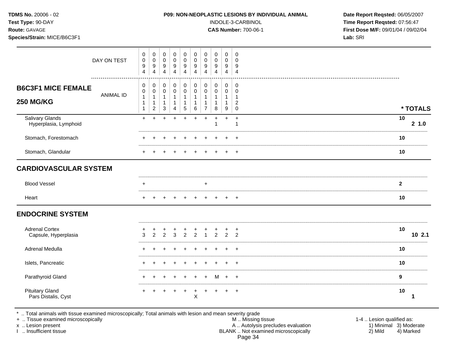| <b>TDMS No. 20006 - 02</b> |  |
|----------------------------|--|
| <b>Test Type: 90-DAY</b>   |  |
| <b>Route: GAVAGE</b>       |  |

Species/Strain: MICE/B6C3F1

### P09: NON-NEOPLASTIC LESIONS BY INDIVIDUAL ANIMAL

INDOLE-3-CARBINOL

**CAS Number: 700-06-1** 

Date Report Reqsted: 06/05/2007 Time Report Reqsted: 07:56:47 First Dose M/F: 09/01/04 / 09/02/04 Lab: SRI

|                                               | DAY ON TEST      | 0<br>$\mathbf 0$<br>9<br>$\overline{4}$                        | 0<br>$\pmb{0}$<br>9<br>$\overline{4}$                           | 0<br>$\mathbf 0$<br>9<br>4       | 0<br>$\mathbf 0$<br>9<br>4               | 0<br>$\mathbf 0$<br>9<br>4                     | 0<br>0<br>9<br>4              | 0<br>0<br>9<br>4                                      | 0<br>0<br>9<br>4              | 0<br>$\mathbf 0$<br>9<br>4 | 0<br>$\Omega$<br>9<br>$\overline{4}$          |                |          |
|-----------------------------------------------|------------------|----------------------------------------------------------------|-----------------------------------------------------------------|----------------------------------|------------------------------------------|------------------------------------------------|-------------------------------|-------------------------------------------------------|-------------------------------|----------------------------|-----------------------------------------------|----------------|----------|
| <b>B6C3F1 MICE FEMALE</b><br><b>250 MG/KG</b> | <b>ANIMAL ID</b> | 0<br>$\pmb{0}$<br>$\mathbf{1}$<br>$\mathbf{1}$<br>$\mathbf{1}$ | 0<br>$\pmb{0}$<br>$\mathbf{1}$<br>$\mathbf 1$<br>$\overline{c}$ | 0<br>$\mathbf 0$<br>1<br>-1<br>3 | 0<br>$\pmb{0}$<br>1<br>$\mathbf{1}$<br>4 | $\pmb{0}$<br>$\,0\,$<br>$\mathbf{1}$<br>1<br>5 | $\pmb{0}$<br>0<br>1<br>1<br>6 | $\pmb{0}$<br>0<br>-1<br>$\mathbf 1$<br>$\overline{7}$ | $\pmb{0}$<br>$\mathbf 0$<br>8 | 0<br>0<br>1<br>9           | 0<br>0<br>$\overline{\mathbf{c}}$<br>$\Omega$ |                | * TOTALS |
| Salivary Glands<br>Hyperplasia, Lymphoid      |                  | $+$                                                            | $\ddot{}$                                                       | $\ddot{}$                        |                                          | $\div$                                         | $+$                           | $+$                                                   | $\overline{1}$                | $\ddot{}$                  | $+$                                           | 10             | 2, 1.0   |
| Stomach, Forestomach                          |                  |                                                                |                                                                 |                                  |                                          |                                                |                               |                                                       |                               |                            | $\div$                                        | 10             |          |
| Stomach, Glandular                            |                  |                                                                |                                                                 |                                  |                                          |                                                |                               |                                                       |                               |                            | $\div$                                        | 10             |          |
| <b>CARDIOVASCULAR SYSTEM</b>                  |                  |                                                                |                                                                 |                                  |                                          |                                                |                               |                                                       |                               |                            |                                               |                |          |
| <b>Blood Vessel</b>                           |                  | ٠                                                              |                                                                 |                                  |                                          |                                                |                               | $\ddot{}$                                             |                               |                            |                                               | $\overline{2}$ |          |
| Heart                                         |                  |                                                                |                                                                 |                                  |                                          |                                                |                               |                                                       |                               |                            | $+$                                           | 10             |          |
| <b>ENDOCRINE SYSTEM</b>                       |                  |                                                                |                                                                 |                                  |                                          |                                                |                               |                                                       |                               |                            |                                               |                |          |
| <b>Adrenal Cortex</b><br>Capsule, Hyperplasia |                  |                                                                | っ                                                               | $\mathcal{P}$                    |                                          |                                                | C                             |                                                       | $\mathcal{D}$                 | $\mathcal{D}$              | $\mathfrak{D}$                                | 10<br>         | 102.1    |
| Adrenal Medulla                               |                  |                                                                |                                                                 |                                  |                                          |                                                |                               |                                                       |                               |                            |                                               | 10             |          |
| Islets, Pancreatic                            |                  |                                                                |                                                                 |                                  |                                          |                                                |                               |                                                       |                               |                            |                                               | 10             |          |
| Parathyroid Gland                             |                  |                                                                |                                                                 |                                  |                                          |                                                |                               |                                                       | м                             |                            |                                               | 9              |          |
| <b>Pituitary Gland</b><br>Pars Distalis, Cyst |                  |                                                                |                                                                 |                                  |                                          |                                                | X                             |                                                       |                               |                            | $\div$                                        | 10             |          |

\* .. Total animals with tissue examined microscopically; Total animals with lesion and mean severity grade + .. Tissue examined microscopically

x .. Lesion present

I .. Insufficient tissue

M .. Missing tissue A .. Autolysis precludes evaluation<br>BLANK .. Not examined microscopically Page 34

1-4 .. Lesion qualified as: 1) Minimal 3) Moderate 2) Mild 4) Marked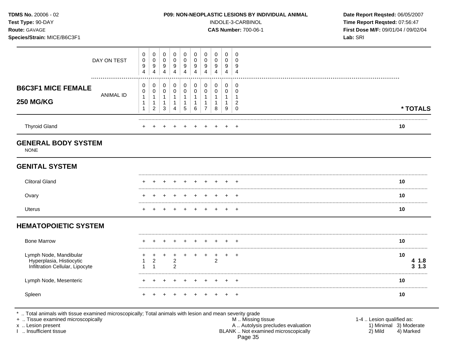| TDMS No. 20006 - 02<br>Test Type: 90-DAY<br>Route: GAVAGE<br>Species/Strain: MICE/B6C3F1 |             |                                  |                            |                                         |                                       |                                          | INDOLE-3-CARBINOL<br><b>CAS Number: 700-06-1</b>      | P09: NON-NEOPLASTIC LESIONS BY INDIVIDUAL ANIMAL<br>Lab: SRI | Date Report Reqsted: 06/05/2007<br>Time Report Reqsted: 07:56:47<br>First Dose M/F: 09/01/04 / 09/02/04 |                  |                            |    |                     |
|------------------------------------------------------------------------------------------|-------------|----------------------------------|----------------------------|-----------------------------------------|---------------------------------------|------------------------------------------|-------------------------------------------------------|--------------------------------------------------------------|---------------------------------------------------------------------------------------------------------|------------------|----------------------------|----|---------------------|
|                                                                                          | DAY ON TEST | 0<br>0<br>9<br>$\overline{4}$    | 0<br>$\mathbf 0$<br>9<br>4 | 0<br>$\mathbf 0$<br>9<br>$\overline{4}$ | 0<br>0<br>9<br>4                      | 0<br>$\mathbf 0$<br>9<br>$\overline{4}$  | 0<br>$\mathbf 0$<br>9<br>$\overline{4}$               | 0<br>0<br>9<br>$\overline{4}$                                | 0<br>0<br>9<br>4                                                                                        | 0<br>0<br>9<br>4 | 0<br>0<br>9<br>4           |    |                     |
| <b>B6C3F1 MICE FEMALE</b><br><b>250 MG/KG</b>                                            | ANIMAL ID   | 0<br>0<br>$\mathbf{1}$<br>1<br>1 | 0<br>0<br>1<br>1<br>2      | 0<br>0<br>1<br>1<br>3                   | 0<br>$\mathbf 0$<br>Δ                 | 0<br>$\pmb{0}$<br>$\mathbf{1}$<br>1<br>5 | 0<br>$\mathbf 0$<br>$\mathbf{1}$<br>$\mathbf{1}$<br>6 | 0<br>0<br>$\mathbf 1$<br>7                                   | 0<br>0<br>8                                                                                             | 0<br>0<br>9      | 0<br>0<br>2<br>$\mathbf 0$ |    | * TOTALS            |
| <b>Thyroid Gland</b>                                                                     |             |                                  |                            |                                         |                                       |                                          |                                                       |                                                              |                                                                                                         |                  | - +                        | 10 |                     |
| <b>GENERAL BODY SYSTEM</b><br><b>NONE</b>                                                |             |                                  |                            |                                         |                                       |                                          |                                                       |                                                              |                                                                                                         |                  |                            |    |                     |
| <b>GENITAL SYSTEM</b>                                                                    |             |                                  |                            |                                         |                                       |                                          |                                                       |                                                              |                                                                                                         |                  |                            |    |                     |
| <b>Clitoral Gland</b>                                                                    |             |                                  |                            |                                         |                                       |                                          |                                                       |                                                              |                                                                                                         |                  |                            | 10 |                     |
| Ovary                                                                                    |             |                                  |                            |                                         |                                       |                                          |                                                       |                                                              |                                                                                                         |                  |                            | 10 |                     |
| Uterus                                                                                   |             |                                  |                            |                                         |                                       |                                          |                                                       | $+$                                                          |                                                                                                         |                  | $+$                        | 10 |                     |
| <b>HEMATOPOIETIC SYSTEM</b>                                                              |             |                                  |                            |                                         |                                       |                                          |                                                       |                                                              |                                                                                                         |                  |                            |    |                     |
| <b>Bone Marrow</b>                                                                       |             |                                  |                            |                                         |                                       |                                          |                                                       |                                                              |                                                                                                         |                  |                            | 10 |                     |
| Lymph Node, Mandibular<br>Hyperplasia, Histiocytic<br>Infiltration Cellular, Lipocyte    |             | -1                               | 2<br>1                     |                                         | +<br>$\overline{2}$<br>$\overline{2}$ |                                          |                                                       | $\ddot{}$                                                    | +<br>$\overline{c}$                                                                                     | $\ddot{}$        | $^{+}$                     | 10 | 4 1.8<br>$3 \; 1.3$ |
| Lymph Node, Mesenteric                                                                   |             |                                  |                            |                                         |                                       |                                          |                                                       |                                                              |                                                                                                         |                  |                            | 10 |                     |
|                                                                                          |             |                                  |                            |                                         |                                       |                                          |                                                       |                                                              |                                                                                                         |                  |                            | 10 |                     |

+ .. Tissue examined microscopically M .. Missing tissue 1-4 .. Lesion qualified as: x .. Lesion present 1) Minimal 3) Moderate A .. Autor A .. Autor A .. Autor A .. Autor A .. Autor A .. Autor A .. Autor A .. Autor A .. Autor A .. Autor A .. Autor A .. Autor A .. Autor A .. Autor A .. Autor A .. Autor A . I .. Insufficient tissue BLANK .. Not examined microscopically 2) Mild 4) Marked Page 35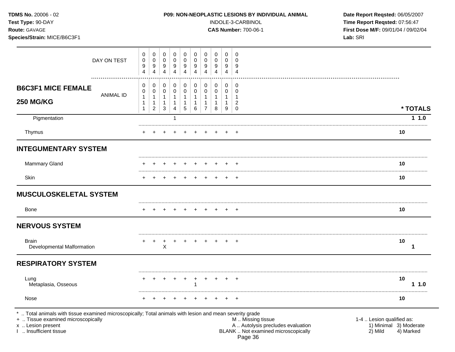| TDMS No. 20006 - 02<br>Test Type: 90-DAY<br>Route: GAVAGE<br>Species/Strain: MICE/B6C3F1 |                             |                  |                             |                               | P09: NON-NEOPLASTIC LESIONS BY INDIVIDUAL ANIMAL |                        | INDOLE-3-CARBINOL<br><b>CAS Number: 700-06-1</b> | Date Report Reqsted: 06/05/2007<br>Time Report Reqsted: 07:56:47<br>First Dose M/F: 09/01/04 / 09/02/04<br>Lab: SRI |                             |                                         |            |
|------------------------------------------------------------------------------------------|-----------------------------|------------------|-----------------------------|-------------------------------|--------------------------------------------------|------------------------|--------------------------------------------------|---------------------------------------------------------------------------------------------------------------------|-----------------------------|-----------------------------------------|------------|
| DAY ON TEST<br>.                                                                         | 0<br>0<br>9<br>4            | 0<br>0<br>9<br>4 | 0<br>0<br>9<br>4            | 0<br>0<br>9<br>$\overline{4}$ | 0<br>0<br>9<br>$\overline{4}$                    | 0<br>0<br>9<br>4       | 0<br>0<br>9<br>4                                 | 0<br>0<br>9<br>4                                                                                                    | 0<br>0<br>9<br>4            | 0<br>$\mathbf 0$<br>9<br>$\overline{4}$ |            |
| <b>B6C3F1 MICE FEMALE</b><br><b>ANIMAL ID</b><br><b>250 MG/KG</b>                        | 0<br>0<br>1<br>$\mathbf{1}$ | 0<br>0<br>1<br>1 | 0<br>0<br>1<br>$\mathbf{1}$ | 0<br>0<br>1<br>$\mathbf{1}$   | 0<br>0<br>$\mathbf{1}$                           | 0<br>0<br>$\mathbf{1}$ | 0<br>0<br>$\mathbf{1}$<br>1                      | 0<br>0<br>1<br>$\mathbf{1}$                                                                                         | 0<br>0<br>1<br>$\mathbf{1}$ | 0<br>0<br>-1<br>$\overline{2}$          |            |
|                                                                                          | $\mathbf{1}$                | $\overline{2}$   | 3                           | $\overline{4}$                | 5                                                | $6\phantom{1}6$        | $\overline{7}$                                   | 8                                                                                                                   | 9                           | $\mathbf 0$                             | * TOTALS   |
| Pigmentation                                                                             |                             |                  |                             | 1                             |                                                  |                        |                                                  |                                                                                                                     |                             |                                         | 11.0       |
| Thymus                                                                                   |                             |                  |                             |                               |                                                  |                        |                                                  |                                                                                                                     |                             | $\pm$                                   | 10         |
| <b>INTEGUMENTARY SYSTEM</b>                                                              |                             |                  |                             |                               |                                                  |                        |                                                  |                                                                                                                     |                             |                                         |            |
| <b>Mammary Gland</b>                                                                     |                             |                  |                             |                               |                                                  |                        |                                                  |                                                                                                                     |                             |                                         | 10         |
| Skin                                                                                     |                             |                  |                             |                               |                                                  |                        |                                                  |                                                                                                                     |                             | $^+$                                    | 10         |
| <b>MUSCULOSKELETAL SYSTEM</b>                                                            |                             |                  |                             |                               |                                                  |                        |                                                  |                                                                                                                     |                             |                                         |            |
| <b>Bone</b>                                                                              |                             |                  |                             |                               |                                                  |                        |                                                  |                                                                                                                     |                             |                                         | 10         |
| <b>NERVOUS SYSTEM</b>                                                                    |                             |                  |                             |                               |                                                  |                        |                                                  |                                                                                                                     |                             |                                         |            |
| <b>Brain</b><br>Developmental Malformation                                               |                             |                  | Χ                           |                               |                                                  |                        |                                                  |                                                                                                                     |                             | $+$ $+$                                 | 10<br>1    |
| <b>RESPIRATORY SYSTEM</b>                                                                |                             |                  |                             |                               |                                                  |                        |                                                  |                                                                                                                     |                             |                                         |            |
| Lung<br>Metaplasia, Osseous                                                              |                             |                  |                             |                               | $+$                                              | $\ddot{}$              | $+$                                              | $+$                                                                                                                 | $+$                         | $^{+}$                                  | 10<br>11.0 |
| Nose                                                                                     |                             |                  |                             |                               |                                                  |                        |                                                  |                                                                                                                     |                             |                                         | 10         |

I .. Insufficient tissue BLANK .. Not examined microscopically 2) Mild 4) Marked Page 36